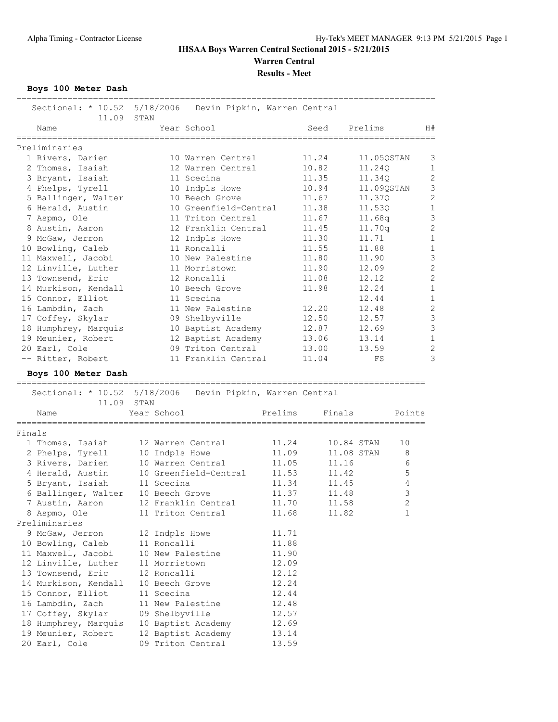## **IHSAA Boys Warren Central Sectional 2015 - 5/21/2015 Warren Central**

**Results - Meet**

**Boys 100 Meter Dash**

| Sectional: * 10.52 5/18/2006<br>Devin Pipkin, Warren Central<br>11.09<br>STAN<br>Year School<br>Prelims<br>H#<br>Name<br>Seed<br>11.24<br>1 Rivers, Darien<br>11.05QSTAN<br>3<br>10 Warren Central<br>10.82<br>$\mathbf 1$<br>2 Thomas, Isaiah<br>12 Warren Central<br>11.24Q<br>$\mathbf{2}$<br>3 Bryant, Isaiah<br>11.35<br>11.34Q<br>11 Scecina<br>3<br>4 Phelps, Tyrell<br>10.94<br>10 Indpls Howe<br>11.09QSTAN<br>$\overline{c}$<br>5 Ballinger, Walter<br>10 Beech Grove<br>11.67<br>11.37Q<br>$\mathbf{1}$<br>10 Greenfield-Central<br>6 Herald, Austin<br>11.38<br>11.53Q<br>3<br>7 Aspmo, Ole<br>11 Triton Central<br>11.67<br>11.68q<br>$\overline{c}$<br>8 Austin, Aaron<br>12 Franklin Central<br>11.45<br>11.70q<br>$\mathbf{1}$<br>9 McGaw, Jerron<br>11.30<br>11.71<br>12 Indpls Howe<br>$\mathbf{1}$<br>10 Bowling, Caleb<br>11 Roncalli<br>11.55<br>11.88<br>3<br>11 Maxwell, Jacobi<br>10 New Palestine<br>11.80<br>11.90<br>$\overline{c}$<br>12 Linville, Luther<br>11 Morristown<br>11.90<br>12.09<br>$\overline{c}$<br>13 Townsend, Eric<br>12 Roncalli<br>11.08<br>12.12<br>$\mathbf 1$<br>14 Murkison, Kendall<br>10 Beech Grove<br>11.98<br>12.24<br>15 Connor, Elliot<br>$1\,$<br>12.44<br>11 Scecina<br>$\overline{c}$<br>16 Lambdin, Zach<br>11 New Palestine<br>12.20<br>12.48<br>3<br>17 Coffey, Skylar<br>09 Shelbyville<br>12.50<br>12.57<br>3<br>10 Baptist Academy<br>18 Humphrey, Marquis<br>12.87<br>12.69<br>$\mathbf{1}$<br>19 Meunier, Robert<br>12 Baptist Academy<br>13.06<br>13.14<br>$\overline{c}$<br>09 Triton Central<br>20 Earl, Cole<br>13.00<br>13.59<br>3<br>-- Ritter, Robert<br>11 Franklin Central<br>11.04<br>FS<br>Boys 100 Meter Dash<br>Sectional: * 10.52 5/18/2006<br>Devin Pipkin, Warren Central<br>11.09<br>STAN<br>Year School<br>Prelims<br>Finals<br>Name<br>Points<br>11.24<br>10.84 STAN<br>1 Thomas, Isaiah<br>12 Warren Central<br>10<br>11.09<br>11.08 STAN<br>8<br>2 Phelps, Tyrell<br>10 Indpls Howe<br>11.05<br>6<br>3 Rivers, Darien<br>10 Warren Central<br>11.16<br>5<br>4 Herald, Austin<br>10 Greenfield-Central<br>11.53<br>11.42<br>5 Bryant, Isaiah<br>11.34<br>11.45<br>4<br>11 Scecina<br>3<br>6 Ballinger, Walter<br>10 Beech Grove<br>11.37<br>11.48<br>7 Austin, Aaron<br>12 Franklin Central<br>11.70<br>11.58<br>2<br>1<br>8 Aspmo, Ole<br>11 Triton Central<br>11.68<br>11.82<br>9 McGaw, Jerron<br>12 Indpls Howe<br>11.71<br>10 Bowling, Caleb<br>11 Roncalli<br>11.88<br>11 Maxwell, Jacobi<br>10 New Palestine<br>11.90<br>12 Linville, Luther<br>11 Morristown<br>12.09<br>13 Townsend, Eric<br>12 Roncalli<br>12.12<br>12.24<br>14 Murkison, Kendall<br>10 Beech Grove<br>15 Connor, Elliot<br>11 Scecina<br>12.44<br>16 Lambdin, Zach<br>12.48<br>11 New Palestine<br>17 Coffey, Skylar<br>09 Shelbyville<br>12.57<br>18 Humphrey, Marquis<br>10 Baptist Academy<br>12.69 |               |                   |       |  |  |
|----------------------------------------------------------------------------------------------------------------------------------------------------------------------------------------------------------------------------------------------------------------------------------------------------------------------------------------------------------------------------------------------------------------------------------------------------------------------------------------------------------------------------------------------------------------------------------------------------------------------------------------------------------------------------------------------------------------------------------------------------------------------------------------------------------------------------------------------------------------------------------------------------------------------------------------------------------------------------------------------------------------------------------------------------------------------------------------------------------------------------------------------------------------------------------------------------------------------------------------------------------------------------------------------------------------------------------------------------------------------------------------------------------------------------------------------------------------------------------------------------------------------------------------------------------------------------------------------------------------------------------------------------------------------------------------------------------------------------------------------------------------------------------------------------------------------------------------------------------------------------------------------------------------------------------------------------------------------------------------------------------------------------------------------------------------------------------------------------------------------------------------------------------------------------------------------------------------------------------------------------------------------------------------------------------------------------------------------------------------------------------------------------------------------------------------------------------------------------------------------------------------------------------------------------------------------------------------------------------------------------------------------------------------------------------------------------------------------------------------------------------------------------------------------------------------------------------------------------------------------------|---------------|-------------------|-------|--|--|
|                                                                                                                                                                                                                                                                                                                                                                                                                                                                                                                                                                                                                                                                                                                                                                                                                                                                                                                                                                                                                                                                                                                                                                                                                                                                                                                                                                                                                                                                                                                                                                                                                                                                                                                                                                                                                                                                                                                                                                                                                                                                                                                                                                                                                                                                                                                                                                                                                                                                                                                                                                                                                                                                                                                                                                                                                                                                            |               |                   |       |  |  |
|                                                                                                                                                                                                                                                                                                                                                                                                                                                                                                                                                                                                                                                                                                                                                                                                                                                                                                                                                                                                                                                                                                                                                                                                                                                                                                                                                                                                                                                                                                                                                                                                                                                                                                                                                                                                                                                                                                                                                                                                                                                                                                                                                                                                                                                                                                                                                                                                                                                                                                                                                                                                                                                                                                                                                                                                                                                                            |               |                   |       |  |  |
|                                                                                                                                                                                                                                                                                                                                                                                                                                                                                                                                                                                                                                                                                                                                                                                                                                                                                                                                                                                                                                                                                                                                                                                                                                                                                                                                                                                                                                                                                                                                                                                                                                                                                                                                                                                                                                                                                                                                                                                                                                                                                                                                                                                                                                                                                                                                                                                                                                                                                                                                                                                                                                                                                                                                                                                                                                                                            | Preliminaries |                   |       |  |  |
|                                                                                                                                                                                                                                                                                                                                                                                                                                                                                                                                                                                                                                                                                                                                                                                                                                                                                                                                                                                                                                                                                                                                                                                                                                                                                                                                                                                                                                                                                                                                                                                                                                                                                                                                                                                                                                                                                                                                                                                                                                                                                                                                                                                                                                                                                                                                                                                                                                                                                                                                                                                                                                                                                                                                                                                                                                                                            |               |                   |       |  |  |
|                                                                                                                                                                                                                                                                                                                                                                                                                                                                                                                                                                                                                                                                                                                                                                                                                                                                                                                                                                                                                                                                                                                                                                                                                                                                                                                                                                                                                                                                                                                                                                                                                                                                                                                                                                                                                                                                                                                                                                                                                                                                                                                                                                                                                                                                                                                                                                                                                                                                                                                                                                                                                                                                                                                                                                                                                                                                            |               |                   |       |  |  |
|                                                                                                                                                                                                                                                                                                                                                                                                                                                                                                                                                                                                                                                                                                                                                                                                                                                                                                                                                                                                                                                                                                                                                                                                                                                                                                                                                                                                                                                                                                                                                                                                                                                                                                                                                                                                                                                                                                                                                                                                                                                                                                                                                                                                                                                                                                                                                                                                                                                                                                                                                                                                                                                                                                                                                                                                                                                                            |               |                   |       |  |  |
|                                                                                                                                                                                                                                                                                                                                                                                                                                                                                                                                                                                                                                                                                                                                                                                                                                                                                                                                                                                                                                                                                                                                                                                                                                                                                                                                                                                                                                                                                                                                                                                                                                                                                                                                                                                                                                                                                                                                                                                                                                                                                                                                                                                                                                                                                                                                                                                                                                                                                                                                                                                                                                                                                                                                                                                                                                                                            |               |                   |       |  |  |
|                                                                                                                                                                                                                                                                                                                                                                                                                                                                                                                                                                                                                                                                                                                                                                                                                                                                                                                                                                                                                                                                                                                                                                                                                                                                                                                                                                                                                                                                                                                                                                                                                                                                                                                                                                                                                                                                                                                                                                                                                                                                                                                                                                                                                                                                                                                                                                                                                                                                                                                                                                                                                                                                                                                                                                                                                                                                            |               |                   |       |  |  |
|                                                                                                                                                                                                                                                                                                                                                                                                                                                                                                                                                                                                                                                                                                                                                                                                                                                                                                                                                                                                                                                                                                                                                                                                                                                                                                                                                                                                                                                                                                                                                                                                                                                                                                                                                                                                                                                                                                                                                                                                                                                                                                                                                                                                                                                                                                                                                                                                                                                                                                                                                                                                                                                                                                                                                                                                                                                                            |               |                   |       |  |  |
|                                                                                                                                                                                                                                                                                                                                                                                                                                                                                                                                                                                                                                                                                                                                                                                                                                                                                                                                                                                                                                                                                                                                                                                                                                                                                                                                                                                                                                                                                                                                                                                                                                                                                                                                                                                                                                                                                                                                                                                                                                                                                                                                                                                                                                                                                                                                                                                                                                                                                                                                                                                                                                                                                                                                                                                                                                                                            |               |                   |       |  |  |
|                                                                                                                                                                                                                                                                                                                                                                                                                                                                                                                                                                                                                                                                                                                                                                                                                                                                                                                                                                                                                                                                                                                                                                                                                                                                                                                                                                                                                                                                                                                                                                                                                                                                                                                                                                                                                                                                                                                                                                                                                                                                                                                                                                                                                                                                                                                                                                                                                                                                                                                                                                                                                                                                                                                                                                                                                                                                            |               |                   |       |  |  |
|                                                                                                                                                                                                                                                                                                                                                                                                                                                                                                                                                                                                                                                                                                                                                                                                                                                                                                                                                                                                                                                                                                                                                                                                                                                                                                                                                                                                                                                                                                                                                                                                                                                                                                                                                                                                                                                                                                                                                                                                                                                                                                                                                                                                                                                                                                                                                                                                                                                                                                                                                                                                                                                                                                                                                                                                                                                                            |               |                   |       |  |  |
|                                                                                                                                                                                                                                                                                                                                                                                                                                                                                                                                                                                                                                                                                                                                                                                                                                                                                                                                                                                                                                                                                                                                                                                                                                                                                                                                                                                                                                                                                                                                                                                                                                                                                                                                                                                                                                                                                                                                                                                                                                                                                                                                                                                                                                                                                                                                                                                                                                                                                                                                                                                                                                                                                                                                                                                                                                                                            |               |                   |       |  |  |
|                                                                                                                                                                                                                                                                                                                                                                                                                                                                                                                                                                                                                                                                                                                                                                                                                                                                                                                                                                                                                                                                                                                                                                                                                                                                                                                                                                                                                                                                                                                                                                                                                                                                                                                                                                                                                                                                                                                                                                                                                                                                                                                                                                                                                                                                                                                                                                                                                                                                                                                                                                                                                                                                                                                                                                                                                                                                            |               |                   |       |  |  |
|                                                                                                                                                                                                                                                                                                                                                                                                                                                                                                                                                                                                                                                                                                                                                                                                                                                                                                                                                                                                                                                                                                                                                                                                                                                                                                                                                                                                                                                                                                                                                                                                                                                                                                                                                                                                                                                                                                                                                                                                                                                                                                                                                                                                                                                                                                                                                                                                                                                                                                                                                                                                                                                                                                                                                                                                                                                                            |               |                   |       |  |  |
|                                                                                                                                                                                                                                                                                                                                                                                                                                                                                                                                                                                                                                                                                                                                                                                                                                                                                                                                                                                                                                                                                                                                                                                                                                                                                                                                                                                                                                                                                                                                                                                                                                                                                                                                                                                                                                                                                                                                                                                                                                                                                                                                                                                                                                                                                                                                                                                                                                                                                                                                                                                                                                                                                                                                                                                                                                                                            |               |                   |       |  |  |
|                                                                                                                                                                                                                                                                                                                                                                                                                                                                                                                                                                                                                                                                                                                                                                                                                                                                                                                                                                                                                                                                                                                                                                                                                                                                                                                                                                                                                                                                                                                                                                                                                                                                                                                                                                                                                                                                                                                                                                                                                                                                                                                                                                                                                                                                                                                                                                                                                                                                                                                                                                                                                                                                                                                                                                                                                                                                            |               |                   |       |  |  |
|                                                                                                                                                                                                                                                                                                                                                                                                                                                                                                                                                                                                                                                                                                                                                                                                                                                                                                                                                                                                                                                                                                                                                                                                                                                                                                                                                                                                                                                                                                                                                                                                                                                                                                                                                                                                                                                                                                                                                                                                                                                                                                                                                                                                                                                                                                                                                                                                                                                                                                                                                                                                                                                                                                                                                                                                                                                                            |               |                   |       |  |  |
|                                                                                                                                                                                                                                                                                                                                                                                                                                                                                                                                                                                                                                                                                                                                                                                                                                                                                                                                                                                                                                                                                                                                                                                                                                                                                                                                                                                                                                                                                                                                                                                                                                                                                                                                                                                                                                                                                                                                                                                                                                                                                                                                                                                                                                                                                                                                                                                                                                                                                                                                                                                                                                                                                                                                                                                                                                                                            |               |                   |       |  |  |
|                                                                                                                                                                                                                                                                                                                                                                                                                                                                                                                                                                                                                                                                                                                                                                                                                                                                                                                                                                                                                                                                                                                                                                                                                                                                                                                                                                                                                                                                                                                                                                                                                                                                                                                                                                                                                                                                                                                                                                                                                                                                                                                                                                                                                                                                                                                                                                                                                                                                                                                                                                                                                                                                                                                                                                                                                                                                            |               |                   |       |  |  |
|                                                                                                                                                                                                                                                                                                                                                                                                                                                                                                                                                                                                                                                                                                                                                                                                                                                                                                                                                                                                                                                                                                                                                                                                                                                                                                                                                                                                                                                                                                                                                                                                                                                                                                                                                                                                                                                                                                                                                                                                                                                                                                                                                                                                                                                                                                                                                                                                                                                                                                                                                                                                                                                                                                                                                                                                                                                                            |               |                   |       |  |  |
|                                                                                                                                                                                                                                                                                                                                                                                                                                                                                                                                                                                                                                                                                                                                                                                                                                                                                                                                                                                                                                                                                                                                                                                                                                                                                                                                                                                                                                                                                                                                                                                                                                                                                                                                                                                                                                                                                                                                                                                                                                                                                                                                                                                                                                                                                                                                                                                                                                                                                                                                                                                                                                                                                                                                                                                                                                                                            |               |                   |       |  |  |
|                                                                                                                                                                                                                                                                                                                                                                                                                                                                                                                                                                                                                                                                                                                                                                                                                                                                                                                                                                                                                                                                                                                                                                                                                                                                                                                                                                                                                                                                                                                                                                                                                                                                                                                                                                                                                                                                                                                                                                                                                                                                                                                                                                                                                                                                                                                                                                                                                                                                                                                                                                                                                                                                                                                                                                                                                                                                            |               |                   |       |  |  |
|                                                                                                                                                                                                                                                                                                                                                                                                                                                                                                                                                                                                                                                                                                                                                                                                                                                                                                                                                                                                                                                                                                                                                                                                                                                                                                                                                                                                                                                                                                                                                                                                                                                                                                                                                                                                                                                                                                                                                                                                                                                                                                                                                                                                                                                                                                                                                                                                                                                                                                                                                                                                                                                                                                                                                                                                                                                                            |               |                   |       |  |  |
|                                                                                                                                                                                                                                                                                                                                                                                                                                                                                                                                                                                                                                                                                                                                                                                                                                                                                                                                                                                                                                                                                                                                                                                                                                                                                                                                                                                                                                                                                                                                                                                                                                                                                                                                                                                                                                                                                                                                                                                                                                                                                                                                                                                                                                                                                                                                                                                                                                                                                                                                                                                                                                                                                                                                                                                                                                                                            |               |                   |       |  |  |
|                                                                                                                                                                                                                                                                                                                                                                                                                                                                                                                                                                                                                                                                                                                                                                                                                                                                                                                                                                                                                                                                                                                                                                                                                                                                                                                                                                                                                                                                                                                                                                                                                                                                                                                                                                                                                                                                                                                                                                                                                                                                                                                                                                                                                                                                                                                                                                                                                                                                                                                                                                                                                                                                                                                                                                                                                                                                            |               |                   |       |  |  |
|                                                                                                                                                                                                                                                                                                                                                                                                                                                                                                                                                                                                                                                                                                                                                                                                                                                                                                                                                                                                                                                                                                                                                                                                                                                                                                                                                                                                                                                                                                                                                                                                                                                                                                                                                                                                                                                                                                                                                                                                                                                                                                                                                                                                                                                                                                                                                                                                                                                                                                                                                                                                                                                                                                                                                                                                                                                                            |               |                   |       |  |  |
|                                                                                                                                                                                                                                                                                                                                                                                                                                                                                                                                                                                                                                                                                                                                                                                                                                                                                                                                                                                                                                                                                                                                                                                                                                                                                                                                                                                                                                                                                                                                                                                                                                                                                                                                                                                                                                                                                                                                                                                                                                                                                                                                                                                                                                                                                                                                                                                                                                                                                                                                                                                                                                                                                                                                                                                                                                                                            |               |                   |       |  |  |
|                                                                                                                                                                                                                                                                                                                                                                                                                                                                                                                                                                                                                                                                                                                                                                                                                                                                                                                                                                                                                                                                                                                                                                                                                                                                                                                                                                                                                                                                                                                                                                                                                                                                                                                                                                                                                                                                                                                                                                                                                                                                                                                                                                                                                                                                                                                                                                                                                                                                                                                                                                                                                                                                                                                                                                                                                                                                            |               |                   |       |  |  |
|                                                                                                                                                                                                                                                                                                                                                                                                                                                                                                                                                                                                                                                                                                                                                                                                                                                                                                                                                                                                                                                                                                                                                                                                                                                                                                                                                                                                                                                                                                                                                                                                                                                                                                                                                                                                                                                                                                                                                                                                                                                                                                                                                                                                                                                                                                                                                                                                                                                                                                                                                                                                                                                                                                                                                                                                                                                                            |               |                   |       |  |  |
|                                                                                                                                                                                                                                                                                                                                                                                                                                                                                                                                                                                                                                                                                                                                                                                                                                                                                                                                                                                                                                                                                                                                                                                                                                                                                                                                                                                                                                                                                                                                                                                                                                                                                                                                                                                                                                                                                                                                                                                                                                                                                                                                                                                                                                                                                                                                                                                                                                                                                                                                                                                                                                                                                                                                                                                                                                                                            | Finals        |                   |       |  |  |
|                                                                                                                                                                                                                                                                                                                                                                                                                                                                                                                                                                                                                                                                                                                                                                                                                                                                                                                                                                                                                                                                                                                                                                                                                                                                                                                                                                                                                                                                                                                                                                                                                                                                                                                                                                                                                                                                                                                                                                                                                                                                                                                                                                                                                                                                                                                                                                                                                                                                                                                                                                                                                                                                                                                                                                                                                                                                            |               |                   |       |  |  |
|                                                                                                                                                                                                                                                                                                                                                                                                                                                                                                                                                                                                                                                                                                                                                                                                                                                                                                                                                                                                                                                                                                                                                                                                                                                                                                                                                                                                                                                                                                                                                                                                                                                                                                                                                                                                                                                                                                                                                                                                                                                                                                                                                                                                                                                                                                                                                                                                                                                                                                                                                                                                                                                                                                                                                                                                                                                                            |               |                   |       |  |  |
|                                                                                                                                                                                                                                                                                                                                                                                                                                                                                                                                                                                                                                                                                                                                                                                                                                                                                                                                                                                                                                                                                                                                                                                                                                                                                                                                                                                                                                                                                                                                                                                                                                                                                                                                                                                                                                                                                                                                                                                                                                                                                                                                                                                                                                                                                                                                                                                                                                                                                                                                                                                                                                                                                                                                                                                                                                                                            |               |                   |       |  |  |
|                                                                                                                                                                                                                                                                                                                                                                                                                                                                                                                                                                                                                                                                                                                                                                                                                                                                                                                                                                                                                                                                                                                                                                                                                                                                                                                                                                                                                                                                                                                                                                                                                                                                                                                                                                                                                                                                                                                                                                                                                                                                                                                                                                                                                                                                                                                                                                                                                                                                                                                                                                                                                                                                                                                                                                                                                                                                            |               |                   |       |  |  |
|                                                                                                                                                                                                                                                                                                                                                                                                                                                                                                                                                                                                                                                                                                                                                                                                                                                                                                                                                                                                                                                                                                                                                                                                                                                                                                                                                                                                                                                                                                                                                                                                                                                                                                                                                                                                                                                                                                                                                                                                                                                                                                                                                                                                                                                                                                                                                                                                                                                                                                                                                                                                                                                                                                                                                                                                                                                                            |               |                   |       |  |  |
|                                                                                                                                                                                                                                                                                                                                                                                                                                                                                                                                                                                                                                                                                                                                                                                                                                                                                                                                                                                                                                                                                                                                                                                                                                                                                                                                                                                                                                                                                                                                                                                                                                                                                                                                                                                                                                                                                                                                                                                                                                                                                                                                                                                                                                                                                                                                                                                                                                                                                                                                                                                                                                                                                                                                                                                                                                                                            |               |                   |       |  |  |
|                                                                                                                                                                                                                                                                                                                                                                                                                                                                                                                                                                                                                                                                                                                                                                                                                                                                                                                                                                                                                                                                                                                                                                                                                                                                                                                                                                                                                                                                                                                                                                                                                                                                                                                                                                                                                                                                                                                                                                                                                                                                                                                                                                                                                                                                                                                                                                                                                                                                                                                                                                                                                                                                                                                                                                                                                                                                            |               |                   |       |  |  |
|                                                                                                                                                                                                                                                                                                                                                                                                                                                                                                                                                                                                                                                                                                                                                                                                                                                                                                                                                                                                                                                                                                                                                                                                                                                                                                                                                                                                                                                                                                                                                                                                                                                                                                                                                                                                                                                                                                                                                                                                                                                                                                                                                                                                                                                                                                                                                                                                                                                                                                                                                                                                                                                                                                                                                                                                                                                                            |               |                   |       |  |  |
|                                                                                                                                                                                                                                                                                                                                                                                                                                                                                                                                                                                                                                                                                                                                                                                                                                                                                                                                                                                                                                                                                                                                                                                                                                                                                                                                                                                                                                                                                                                                                                                                                                                                                                                                                                                                                                                                                                                                                                                                                                                                                                                                                                                                                                                                                                                                                                                                                                                                                                                                                                                                                                                                                                                                                                                                                                                                            | Preliminaries |                   |       |  |  |
|                                                                                                                                                                                                                                                                                                                                                                                                                                                                                                                                                                                                                                                                                                                                                                                                                                                                                                                                                                                                                                                                                                                                                                                                                                                                                                                                                                                                                                                                                                                                                                                                                                                                                                                                                                                                                                                                                                                                                                                                                                                                                                                                                                                                                                                                                                                                                                                                                                                                                                                                                                                                                                                                                                                                                                                                                                                                            |               |                   |       |  |  |
|                                                                                                                                                                                                                                                                                                                                                                                                                                                                                                                                                                                                                                                                                                                                                                                                                                                                                                                                                                                                                                                                                                                                                                                                                                                                                                                                                                                                                                                                                                                                                                                                                                                                                                                                                                                                                                                                                                                                                                                                                                                                                                                                                                                                                                                                                                                                                                                                                                                                                                                                                                                                                                                                                                                                                                                                                                                                            |               |                   |       |  |  |
|                                                                                                                                                                                                                                                                                                                                                                                                                                                                                                                                                                                                                                                                                                                                                                                                                                                                                                                                                                                                                                                                                                                                                                                                                                                                                                                                                                                                                                                                                                                                                                                                                                                                                                                                                                                                                                                                                                                                                                                                                                                                                                                                                                                                                                                                                                                                                                                                                                                                                                                                                                                                                                                                                                                                                                                                                                                                            |               |                   |       |  |  |
|                                                                                                                                                                                                                                                                                                                                                                                                                                                                                                                                                                                                                                                                                                                                                                                                                                                                                                                                                                                                                                                                                                                                                                                                                                                                                                                                                                                                                                                                                                                                                                                                                                                                                                                                                                                                                                                                                                                                                                                                                                                                                                                                                                                                                                                                                                                                                                                                                                                                                                                                                                                                                                                                                                                                                                                                                                                                            |               |                   |       |  |  |
|                                                                                                                                                                                                                                                                                                                                                                                                                                                                                                                                                                                                                                                                                                                                                                                                                                                                                                                                                                                                                                                                                                                                                                                                                                                                                                                                                                                                                                                                                                                                                                                                                                                                                                                                                                                                                                                                                                                                                                                                                                                                                                                                                                                                                                                                                                                                                                                                                                                                                                                                                                                                                                                                                                                                                                                                                                                                            |               |                   |       |  |  |
|                                                                                                                                                                                                                                                                                                                                                                                                                                                                                                                                                                                                                                                                                                                                                                                                                                                                                                                                                                                                                                                                                                                                                                                                                                                                                                                                                                                                                                                                                                                                                                                                                                                                                                                                                                                                                                                                                                                                                                                                                                                                                                                                                                                                                                                                                                                                                                                                                                                                                                                                                                                                                                                                                                                                                                                                                                                                            |               |                   |       |  |  |
|                                                                                                                                                                                                                                                                                                                                                                                                                                                                                                                                                                                                                                                                                                                                                                                                                                                                                                                                                                                                                                                                                                                                                                                                                                                                                                                                                                                                                                                                                                                                                                                                                                                                                                                                                                                                                                                                                                                                                                                                                                                                                                                                                                                                                                                                                                                                                                                                                                                                                                                                                                                                                                                                                                                                                                                                                                                                            |               |                   |       |  |  |
|                                                                                                                                                                                                                                                                                                                                                                                                                                                                                                                                                                                                                                                                                                                                                                                                                                                                                                                                                                                                                                                                                                                                                                                                                                                                                                                                                                                                                                                                                                                                                                                                                                                                                                                                                                                                                                                                                                                                                                                                                                                                                                                                                                                                                                                                                                                                                                                                                                                                                                                                                                                                                                                                                                                                                                                                                                                                            |               |                   |       |  |  |
|                                                                                                                                                                                                                                                                                                                                                                                                                                                                                                                                                                                                                                                                                                                                                                                                                                                                                                                                                                                                                                                                                                                                                                                                                                                                                                                                                                                                                                                                                                                                                                                                                                                                                                                                                                                                                                                                                                                                                                                                                                                                                                                                                                                                                                                                                                                                                                                                                                                                                                                                                                                                                                                                                                                                                                                                                                                                            |               |                   |       |  |  |
|                                                                                                                                                                                                                                                                                                                                                                                                                                                                                                                                                                                                                                                                                                                                                                                                                                                                                                                                                                                                                                                                                                                                                                                                                                                                                                                                                                                                                                                                                                                                                                                                                                                                                                                                                                                                                                                                                                                                                                                                                                                                                                                                                                                                                                                                                                                                                                                                                                                                                                                                                                                                                                                                                                                                                                                                                                                                            |               |                   |       |  |  |
| 19 Meunier, Robert<br>12 Baptist Academy<br>13.14                                                                                                                                                                                                                                                                                                                                                                                                                                                                                                                                                                                                                                                                                                                                                                                                                                                                                                                                                                                                                                                                                                                                                                                                                                                                                                                                                                                                                                                                                                                                                                                                                                                                                                                                                                                                                                                                                                                                                                                                                                                                                                                                                                                                                                                                                                                                                                                                                                                                                                                                                                                                                                                                                                                                                                                                                          |               |                   |       |  |  |
|                                                                                                                                                                                                                                                                                                                                                                                                                                                                                                                                                                                                                                                                                                                                                                                                                                                                                                                                                                                                                                                                                                                                                                                                                                                                                                                                                                                                                                                                                                                                                                                                                                                                                                                                                                                                                                                                                                                                                                                                                                                                                                                                                                                                                                                                                                                                                                                                                                                                                                                                                                                                                                                                                                                                                                                                                                                                            |               |                   |       |  |  |
|                                                                                                                                                                                                                                                                                                                                                                                                                                                                                                                                                                                                                                                                                                                                                                                                                                                                                                                                                                                                                                                                                                                                                                                                                                                                                                                                                                                                                                                                                                                                                                                                                                                                                                                                                                                                                                                                                                                                                                                                                                                                                                                                                                                                                                                                                                                                                                                                                                                                                                                                                                                                                                                                                                                                                                                                                                                                            | 20 Earl, Cole | 09 Triton Central | 13.59 |  |  |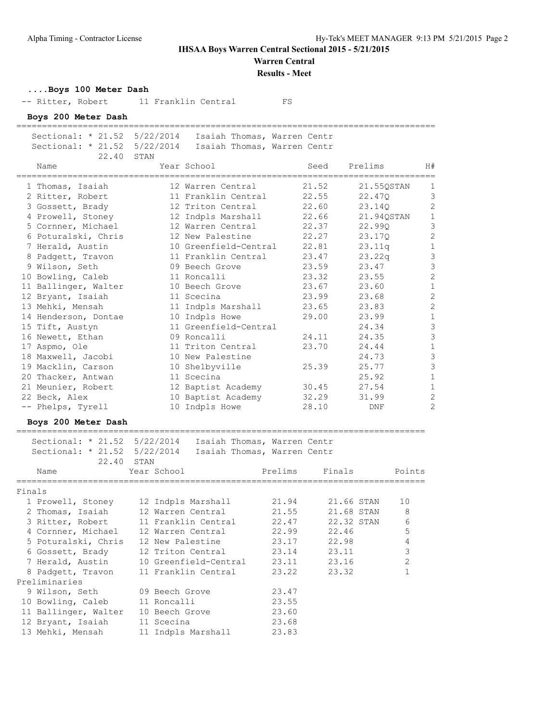**Warren Central**

**Results - Meet**

#### **....Boys 100 Meter Dash**

-- Ritter, Robert 11 Franklin Central FS

**Boys 200 Meter Dash**

==================================================================================

 Sectional: \* 21.52 5/22/2014 Isaiah Thomas, Warren Centr Sectional: \* 21.52 5/22/2014 Isaiah Thomas, Warren Centr

| . |  |            |  |  |
|---|--|------------|--|--|
|   |  | 22.40 STAN |  |  |

| 22.40                                          | STAN |                       |       |            |                |
|------------------------------------------------|------|-----------------------|-------|------------|----------------|
| Name<br>====================================== |      | Year School           | Seed  | Prelims    | H#             |
| 1 Thomas, Isaiah                               |      | 12 Warren Central     | 21.52 | 21.55QSTAN | 1              |
| 2 Ritter, Robert                               |      | 11 Franklin Central   | 22.55 | 22.470     | 3              |
| 3 Gossett, Brady                               |      | 12 Triton Central     | 22.60 | 23.14Q     | $\overline{c}$ |
| 4 Prowell, Stoney                              |      | 12 Indpls Marshall    | 22.66 | 21.94QSTAN | $\mathbf 1$    |
| 5 Cornner, Michael                             |      | 12 Warren Central     | 22.37 | 22.990     | 3              |
| 6 Poturalski, Chris                            |      | 12 New Palestine      | 22.27 | 23.17Q     | $\overline{c}$ |
| 7 Herald, Austin                               |      | 10 Greenfield-Central | 22.81 | 23.11q     | $\mathbf{1}$   |
| 8 Padgett, Travon                              |      | 11 Franklin Central   | 23.47 | 23.22q     | 3              |
| 9 Wilson, Seth                                 |      | 09 Beech Grove        | 23.59 | 23.47      | 3              |
| 10 Bowling, Caleb                              |      | 11 Roncalli           | 23.32 | 23.55      | $\overline{c}$ |
| 11 Ballinger, Walter                           |      | 10 Beech Grove        | 23.67 | 23.60      | $\mathbf{1}$   |
| 12 Bryant, Isaiah                              |      | 11 Scecina            | 23.99 | 23.68      | $\overline{c}$ |
| 13 Mehki, Mensah                               |      | 11 Indpls Marshall    | 23.65 | 23.83      | $\overline{c}$ |
| 14 Henderson, Dontae                           |      | 10 Indpls Howe        | 29.00 | 23.99      | $1\,$          |
| 15 Tift, Austyn                                |      | 11 Greenfield-Central |       | 24.34      | 3              |
| 16 Newett, Ethan                               |      | 09 Roncalli           | 24.11 | 24.35      | 3              |
| 17 Aspmo, Ole                                  |      | 11 Triton Central     | 23.70 | 24.44      | $\mathbf{1}$   |
| 18 Maxwell, Jacobi                             |      | 10 New Palestine      |       | 24.73      | 3              |
| 19 Macklin, Carson                             |      | 10 Shelbyville        | 25.39 | 25.77      | 3              |
| 20 Thacker, Antwan                             |      | 11 Scecina            |       | 25.92      | $\mathbf{1}$   |
| 21 Meunier, Robert                             |      | 12 Baptist Academy    | 30.45 | 27.54      | $\mathbf{1}$   |
| 22 Beck, Alex                                  |      | 10 Baptist Academy    | 32.29 | 31.99      | $\overline{2}$ |
| -- Phelps, Tyrell                              |      | 10 Indpls Howe        | 28.10 | DNF        | 2              |

### **Boys 200 Meter Dash**

================================================================================

|        | Sectional: * 21.52 5/22/2014 Isaiah Thomas, Warren Centr                                                        |             |                                        |       |                       |                |
|--------|-----------------------------------------------------------------------------------------------------------------|-------------|----------------------------------------|-------|-----------------------|----------------|
|        | Sectional: * 21.52 5/22/2014 Isaiah Thomas, Warren Centr                                                        |             |                                        |       |                       |                |
|        | 22.40 STAN                                                                                                      |             |                                        |       |                       |                |
|        | Name and the state of the state of the state of the state of the state of the state of the state of the state o | Year School |                                        |       | Prelims Finals Points |                |
| Finals | =============                                                                                                   |             |                                        |       |                       |                |
|        | 1 Prowell, Stoney 12 Indpls Marshall 21.94 21.66 STAN                                                           |             |                                        |       |                       | 10             |
|        | 2 Thomas, Isaiah                                                                                                |             | 12 Warren Central $21.55$ 21.68 STAN 8 |       |                       |                |
|        | 3 Ritter, Robert 11 Franklin Central 22.47 22.32 STAN                                                           |             |                                        |       |                       | 6              |
|        | 4 Cornner, Michael 12 Warren Central 22.99 22.46                                                                |             |                                        |       |                       | 5              |
|        | 5 Poturalski, Chris 12 New Palestine 23.17 22.98                                                                |             |                                        |       |                       | 4              |
|        | 6 Gossett, Brady 12 Triton Central 23.14 23.11                                                                  |             |                                        |       |                       | $\mathbf{3}$   |
|        | 7 Herald, Austin 10 Greenfield-Central 23.11 23.16                                                              |             |                                        |       |                       | $\overline{2}$ |
|        | 8 Padgett, Travon 11 Franklin Central 23.22 23.32                                                               |             |                                        |       |                       | 1              |
|        | Preliminaries                                                                                                   |             |                                        |       |                       |                |
|        | 9 Wilson, Seth 09 Beech Grove                                                                                   |             |                                        | 23.47 |                       |                |
|        | 10 Bowling, Caleb 11 Roncalli                                                                                   |             |                                        | 23.55 |                       |                |
|        | 11 Ballinger, Walter 10 Beech Grove 23.60                                                                       |             |                                        |       |                       |                |
|        | 12 Bryant, Isaiah 11 Scecina (23.68)                                                                            |             |                                        |       |                       |                |
|        | 13 Mehki, Mensah 11 Indpls Marshall 23.83                                                                       |             |                                        |       |                       |                |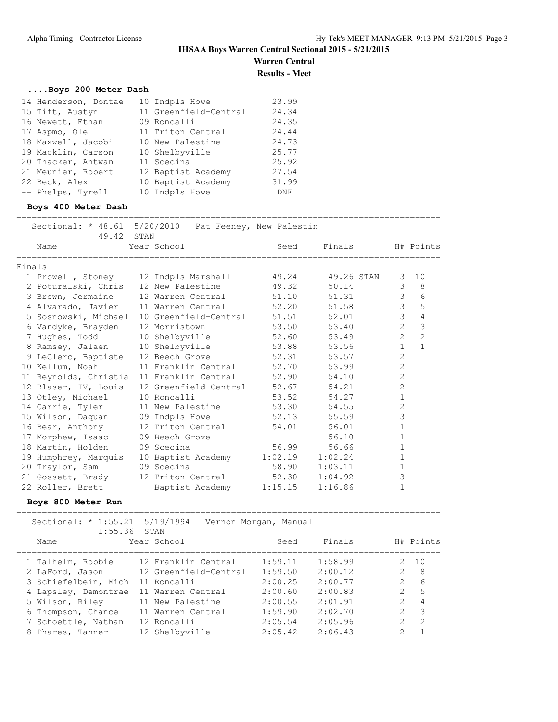#### **IHSAA Boys Warren Central Sectional 2015 - 5/21/2015 Warren Central**

**Results - Meet**

#### **....Boys 200 Meter Dash**

| 14 Henderson, Dontae | 10 Indpls Howe        | 23.99 |
|----------------------|-----------------------|-------|
| 15 Tift, Austyn      | 11 Greenfield-Central | 24.34 |
| 16 Newett, Ethan     | 09 Roncalli           | 24.35 |
| 17 Aspmo, Ole        | 11 Triton Central     | 24.44 |
| 18 Maxwell, Jacobi   | 10 New Palestine      | 24.73 |
| 19 Macklin, Carson   | 10 Shelbyville        | 25.77 |
| 20 Thacker, Antwan   | 11 Scecina            | 25.92 |
| 21 Meunier, Robert   | 12 Baptist Academy    | 27.54 |
| 22 Beck, Alex        | 10 Baptist Academy    | 31.99 |
| -- Phelps, Tyrell    | 10 Indpls Howe        | DNF   |

#### **Boys 400 Meter Dash**

===================================================================================

|        | Sectional: * 48.61 5/20/2010 Pat Feeney, New Palestin<br>49.42 STAN |                       |         |            |                |                |
|--------|---------------------------------------------------------------------|-----------------------|---------|------------|----------------|----------------|
|        | Name                                                                | Year School           | Seed    | Finals     |                | H# Points      |
| Finals |                                                                     |                       |         |            |                |                |
|        | 1 Prowell, Stoney 12 Indpls Marshall                                |                       | 49.24   | 49.26 STAN | 3              | 10             |
|        | 2 Poturalski, Chris 12 New Palestine                                |                       | 49.32   | 50.14      | 3              | 8              |
|        | 3 Brown, Jermaine 12 Warren Central                                 |                       | 51.10   | 51.31      | $\mathfrak{Z}$ | 6              |
|        | 4 Alvarado, Javier                                                  | 11 Warren Central     | 52.20   | 51.58      | $\mathfrak{Z}$ | 5              |
|        | 5 Sosnowski, Michael                                                | 10 Greenfield-Central | 51.51   | 52.01      | 3              | 4              |
|        | 6 Vandyke, Brayden                                                  | 12 Morristown         | 53.50   | 53.40      | $\overline{2}$ | 3              |
|        | 7 Hughes, Todd                                                      | 10 Shelbyville        | 52.60   | 53.49      | $\overline{2}$ | $\overline{2}$ |
|        | 8 Ramsey, Jalaen 10 Shelbyville                                     |                       | 53.88   | 53.56      | $\mathbf{1}$   | $\mathbf{1}$   |
|        | 9 LeClerc, Baptiste 12 Beech Grove                                  |                       | 52.31   | 53.57      | $\overline{c}$ |                |
|        | 10 Kellum, Noah                                                     | 11 Franklin Central   | 52.70   | 53.99      | $\overline{2}$ |                |
|        | 11 Reynolds, Christia 11 Franklin Central                           |                       | 52.90   | 54.10      | $\overline{c}$ |                |
|        | 12 Blaser, IV, Louis                                                | 12 Greenfield-Central | 52.67   | 54.21      | $\overline{c}$ |                |
|        | 13 Otley, Michael                                                   | 10 Roncalli           | 53.52   | 54.27      | $\mathbf{1}$   |                |
|        | 14 Carrie, Tyler                                                    | 11 New Palestine      | 53.30   | 54.55      | $\mathbf{2}$   |                |
|        | 15 Wilson, Daquan 09 Indpls Howe                                    |                       | 52.13   | 55.59      | 3              |                |
|        | 16 Bear, Anthony                                                    | 12 Triton Central     | 54.01   | 56.01      | $\mathbf{1}$   |                |
|        | 17 Morphew, Isaac 09 Beech Grove                                    |                       |         | 56.10      | $\mathbf 1$    |                |
|        | 18 Martin, Holden                                                   | 09 Scecina            | 56.99   | 56.66      | $\mathbf{1}$   |                |
|        | 19 Humphrey, Marquis 10 Baptist Academy                             |                       | 1:02.19 | 1:02.24    | $\mathbf 1$    |                |
|        | 20 Traylor, Sam                                                     | 09 Scecina            | 58.90   | 1:03.11    | 1              |                |
|        | 21 Gossett, Brady                                                   | 12 Triton Central     | 52.30   | 1:04.92    | 3              |                |
|        | 22 Roller, Brett                                                    | Baptist Academy       | 1:15.15 | 1:16.86    | $\mathbf{1}$   |                |

#### **Boys 800 Meter Run**

=================================================================================== Sectional: \* 1:55.21 5/19/1994 Vernon Morgan, Manual 1:55.36 STAN Name Year School Seed Finals H# Points =================================================================================== 1 Talhelm, Robbie 12 Franklin Central 1:59.11 1:58.99 2 10 2 LaFord, Jason 12 Greenfield-Central 1:59.50 2:00.12 2 8 3 Schiefelbein, Mich 11 Roncalli 2:00.25 2:00.77 2 6 4 Lapsley, Demontrae 11 Warren Central 2:00.60 2:00.83 2 5 5 Wilson, Riley 11 New Palestine 2:00.55 2:01.91 2 4 6 Thompson, Chance 11 Warren Central 1:59.90 2:02.70 2 3 7 Schoettle, Nathan 12 Roncalli 2:05.54 2:05.96 2 2 8 Phares, Tanner 12 Shelbyville 2:05.42 2:06.43 2 1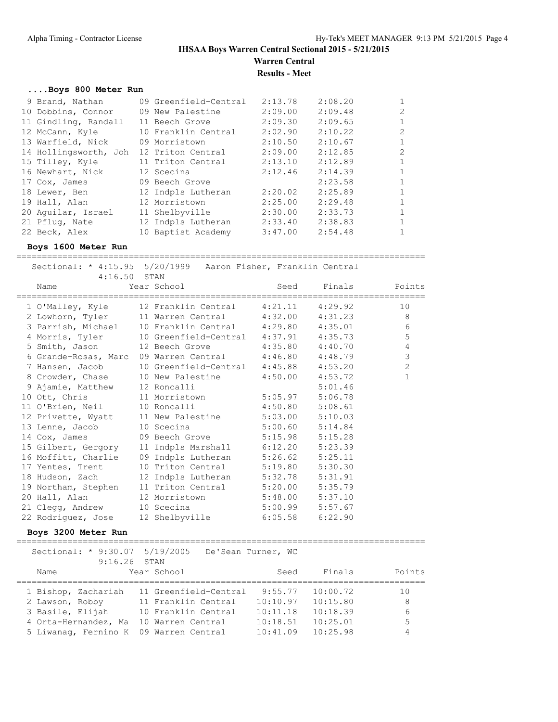**Warren Central Results - Meet**

**....Boys 800 Meter Run**

| 9 Brand, Nathan       | 09 Greenfield-Central | 2:13.78 | 2:08.20 |               |
|-----------------------|-----------------------|---------|---------|---------------|
| 10 Dobbins, Connor    | 09 New Palestine      | 2:09.00 | 2:09.48 | $\mathcal{L}$ |
| 11 Gindling, Randall  | 11 Beech Grove        | 2:09.30 | 2:09.65 |               |
| 12 McCann, Kyle       | 10 Franklin Central   | 2:02.90 | 2:10.22 | $\mathcal{L}$ |
| 13 Warfield, Nick     | 09 Morristown         | 2:10.50 | 2:10.67 |               |
| 14 Hollingsworth, Joh | 12 Triton Central     | 2:09.00 | 2:12.85 | $\mathcal{P}$ |
| 15 Tilley, Kyle       | 11 Triton Central     | 2:13.10 | 2:12.89 |               |
| 16 Newhart, Nick      | 12 Scecina            | 2:12.46 | 2:14.39 |               |
| 17 Cox, James         | 09 Beech Grove        |         | 2:23.58 |               |
| 18 Lewer, Ben         | 12 Indpls Lutheran    | 2:20.02 | 2:25.89 |               |
| 19 Hall, Alan         | 12 Morristown         | 2:25.00 | 2:29.48 |               |
| 20 Aguilar, Israel    | 11 Shelbyville        | 2:30.00 | 2:33.73 |               |
| 21 Pflug, Nate        | 12 Indpls Lutheran    | 2:33.40 | 2:38.83 |               |
| 22 Beck, Alex         | 10 Baptist Academy    | 3:47.00 | 2:54.48 |               |

#### **Boys 1600 Meter Run**

================================================================================

 Sectional: \* 4:15.95 5/20/1999 Aaron Fisher, Franklin Central 4:16.50 STAN<br>e Year School Name Year School Seed Finals Points ================================================================================ 1 O'Malley, Kyle 12 Franklin Central 4:21.11 4:29.92 10 2 Lowhorn, Tyler 11 Warren Central 4:32.00 4:31.23 8 3 Parrish, Michael 10 Franklin Central 4:29.80 4:35.01 6 4 Morris, Tyler 10 Greenfield-Central 4:37.91 4:35.73 5 5 Smith, Jason 12 Beech Grove 4:35.80 4:40.70 4 6 Grande-Rosas, Marc 09 Warren Central 4:46.80 4:48.79 3 7 Hansen, Jacob 10 Greenfield-Central 4:45.88 4:53.20 2 8 Crowder, Chase 10 New Palestine 4:50.00 4:53.72 1 9 Ajamie, Matthew 12 Roncalli 5:01.46 10 Ott, Chris 11 Morristown 5:05.97 5:06.78 11 O'Brien, Neil 10 Roncalli 4:50.80 5:08.61 12 Privette, Wyatt 11 New Palestine 5:03.00 5:10.03 13 Lenne, Jacob 10 Scecina 5:00.60 5:14.84 14 Cox, James 09 Beech Grove 5:15.98 5:15.28 15 Gilbert, Gergory 11 Indpls Marshall 6:12.20 5:23.39 16 Moffitt, Charlie 09 Indpls Lutheran 5:26.62 5:25.11 17 Yentes, Trent 10 Triton Central 5:19.80 5:30.30 18 Hudson, Zach 12 Indpls Lutheran 5:32.78 5:31.91 19 Northam, Stephen 11 Triton Central 5:20.00 5:35.79 20 Hall, Alan 12 Morristown 5:48.00 5:37.10 21 Clegg, Andrew 10 Scecina 5:00.99 5:57.67 22 Rodriguez, Jose 12 Shelbyville 6:05.58 6:22.90

#### **Boys 3200 Meter Run**

================================================================================ Sectional: \* 9:30.07 5/19/2005 De'Sean Turner, WC 9:16.26 STAN Name Year School Seed Finals Points ================================================================================ 1 Bishop, Zachariah 11 Greenfield-Central 9:55.77 10:00.72 10 2 Lawson, Robby 11 Franklin Central 10:10.97 10:15.80 8 3 Basile, Elijah 10 Franklin Central 10:11.18 10:18.39 6 4 Orta-Hernandez, Ma 10 Warren Central 10:18.51 10:25.01 5 5 Liwanag, Fernino K 09 Warren Central 10:41.09 10:25.98 4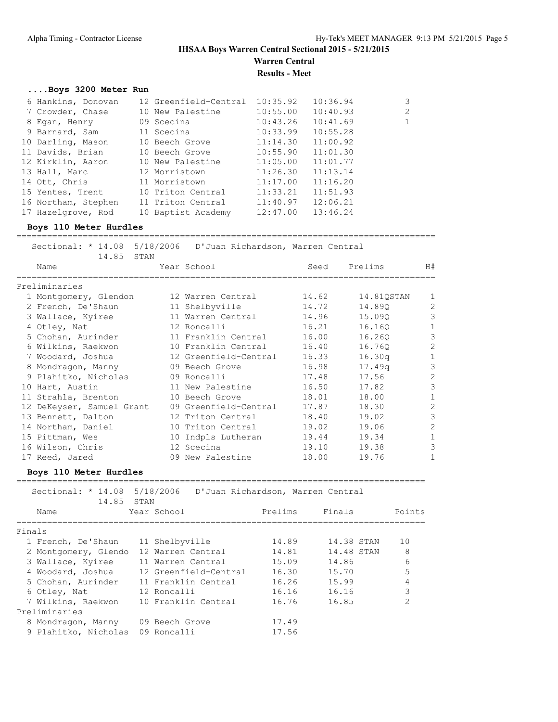### **IHSAA Boys Warren Central Sectional 2015 - 5/21/2015 Warren Central**

**Results - Meet**

### **....Boys 3200 Meter Run**

| 6 Hankins, Donovan  | 12 Greenfield-Central 10:35.92 |          | 10:36.94 | 3            |
|---------------------|--------------------------------|----------|----------|--------------|
| 7 Crowder, Chase    | 10 New Palestine               | 10:55.00 | 10:40.93 | 2            |
| 8 Egan, Henry       | 09 Scecina                     | 10:43.26 | 10:41.69 | $\mathbf{1}$ |
| 9 Barnard, Sam      | 11 Scecina                     | 10:33.99 | 10:55.28 |              |
| 10 Darling, Mason   | 10 Beech Grove                 | 11:14.30 | 11:00.92 |              |
| 11 Davids, Brian    | 10 Beech Grove                 | 10:55.90 | 11:01.30 |              |
| 12 Kirklin, Aaron   | 10 New Palestine               | 11:05.00 | 11:01.77 |              |
| 13 Hall, Marc       | 12 Morristown                  | 11:26.30 | 11:13.14 |              |
| 14 Ott, Chris       | 11 Morristown                  | 11:17.00 | 11:16.20 |              |
| 15 Yentes, Trent    | 10 Triton Central              | 11:33.21 | 11:51.93 |              |
| 16 Northam, Stephen | 11 Triton Central              | 11:40.97 | 12:06.21 |              |
| 17 Hazelgrove, Rod  | 10 Baptist Academy             | 12:47.00 | 13:46.24 |              |

#### **Boys 110 Meter Hurdles**

| 14.85 STAN                | Sectional: * 14.08 5/18/2006  D'Juan Richardson, Warren Central |       |            |                |
|---------------------------|-----------------------------------------------------------------|-------|------------|----------------|
| Name                      | Year School                                                     | Seed  | Prelims    | H#             |
| Preliminaries             |                                                                 |       |            |                |
| 1 Montgomery, Glendon     | 12 Warren Central                                               | 14.62 | 14.81QSTAN | 1              |
| 2 French, De'Shaun        | 11 Shelbyville                                                  | 14.72 | 14.890     | $\overline{c}$ |
| 3 Wallace, Kyiree         | 11 Warren Central                                               | 14.96 | 15.090     | 3              |
| 4 Otley, Nat              | 12 Roncalli                                                     | 16.21 | 16.160     | $\mathbf{1}$   |
| 5 Chohan, Aurinder        | 11 Franklin Central                                             | 16.00 | 16.260     | 3              |
| 6 Wilkins, Raekwon        | 10 Franklin Central                                             | 16.40 | 16.760     | $\overline{c}$ |
| 7 Woodard, Joshua         | 12 Greenfield-Central                                           | 16.33 | 16.30q     | $\mathbf{1}$   |
| 8 Mondragon, Manny        | 09 Beech Grove                                                  | 16.98 | 17.49q     | 3              |
| 9 Plahitko, Nicholas      | 09 Roncalli                                                     | 17.48 | 17.56      | $\overline{2}$ |
| 10 Hart, Austin           | 11 New Palestine                                                | 16.50 | 17.82      | 3              |
| 11 Strahla, Brenton       | 10 Beech Grove                                                  | 18.01 | 18.00      | $\mathbf{1}$   |
| 12 DeKeyser, Samuel Grant | 09 Greenfield-Central                                           | 17.87 | 18.30      | $\overline{c}$ |
| 13 Bennett, Dalton        | 12 Triton Central                                               | 18.40 | 19.02      | 3              |
| 14 Northam, Daniel        | 10 Triton Central                                               | 19.02 | 19.06      | $\overline{c}$ |
| 15 Pittman, Wes           | 10 Indpls Lutheran                                              | 19.44 | 19.34      | $\mathbf{1}$   |
| 16 Wilson, Chris          | 12 Scecina                                                      | 19.10 | 19.38      | 3              |
| 17 Reed, Jared            | 09 New Palestine                                                | 18.00 | 19.76      | $\mathbf{1}$   |
|                           |                                                                 |       |            |                |

#### **Boys 110 Meter Hurdles**

| 14.85 STAN                        | Sectional: * 14.08 5/18/2006 D'Juan Richardson, Warren Central |         |            |               |
|-----------------------------------|----------------------------------------------------------------|---------|------------|---------------|
| Name                              | Year School                                                    | Prelims | Finals     | Points        |
| Finals                            |                                                                |         |            |               |
| 1 French, De'Shaun 11 Shelbyville |                                                                | 14.89   | 14.38 STAN | 10            |
| 2 Montgomery, Glendo              | 12 Warren Central                                              | 14.81   | 14.48 STAN | 8             |
| 3 Wallace, Kyiree                 | 11 Warren Central                                              | 15.09   | 14.86      | 6             |
| 4 Woodard, Joshua                 | 12 Greenfield-Central                                          | 16.30   | 15.70      | 5             |
| 5 Chohan, Aurinder                | 11 Franklin Central                                            | 16.26   | 15.99      | 4             |
| 6 Otley, Nat                      | 12 Roncalli                                                    | 16.16   | 16.16      | 3             |
| 7 Wilkins, Raekwon                | 10 Franklin Central                                            | 16.76   | 16.85      | $\mathcal{D}$ |
| Preliminaries                     |                                                                |         |            |               |
| 8 Mondragon, Manny                | 09 Beech Grove                                                 | 17.49   |            |               |
| 9 Plahitko, Nicholas              | 09 Roncalli                                                    | 17.56   |            |               |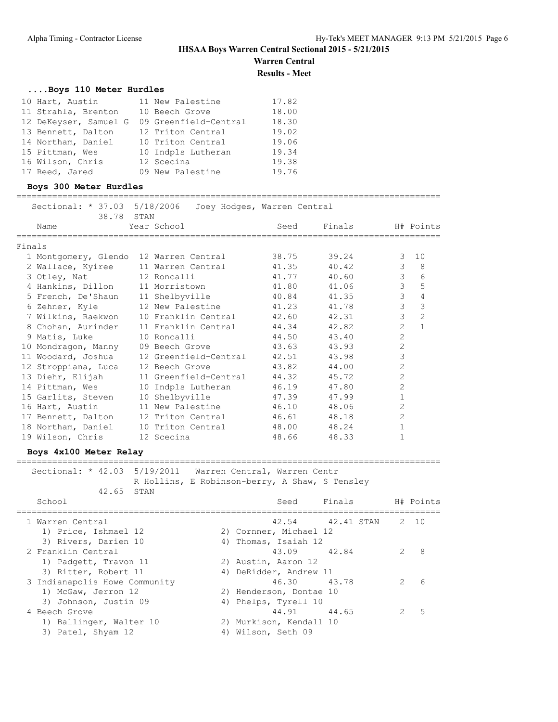**Warren Central**

**Results - Meet**

#### **....Boys 110 Meter Hurdles**

| 10 Hart, Austin       | 11 New Palestine      | 17.82 |
|-----------------------|-----------------------|-------|
| 11 Strahla, Brenton   | 10 Beech Grove        | 18.00 |
| 12 DeKeyser, Samuel G | 09 Greenfield-Central | 18.30 |
| 13 Bennett, Dalton    | 12 Triton Central     | 19.02 |
| 14 Northam, Daniel    | 10 Triton Central     | 19.06 |
| 15 Pittman, Wes       | 10 Indpls Lutheran    | 19.34 |
| 16 Wilson, Chris      | 12 Scecina            | 19.38 |
| 17 Reed, Jared        | 09 New Palestine      | 19.76 |

#### **Boys 300 Meter Hurdles**

=================================================================================== Sectional:  $*$  37.03 5/18/2006 Joey Hodges, Warren Central

|        | 38.78 STAN                             | Sectional: ^ 37.03 3/18/2006 - Joey Hodges, Warren Central |             |             |                |                |
|--------|----------------------------------------|------------------------------------------------------------|-------------|-------------|----------------|----------------|
|        | Name                                   | Year School                                                | Seed        | Finals      |                | H# Points      |
| Finals |                                        |                                                            |             |             |                |                |
|        | 1 Montgomery, Glendo 12 Warren Central |                                                            | 38.75       | 39.24       | 3              | 10             |
|        | 2 Wallace, Kyiree 11 Warren Central    |                                                            | 41.35 40.42 |             | $\mathcal{E}$  | - 8            |
|        | 3 Otley, Nat 12 Roncalli               |                                                            | 41.77       | 40.60       | $\mathcal{S}$  | 6              |
|        |                                        | 4 Hankins, Dillon 11 Morristown 41.80                      |             | 41.06       | $\mathfrak{Z}$ | 5              |
|        |                                        | 5 French, De'Shaun 11 Shelbyville                          |             | 40.84 41.35 | $\mathfrak{Z}$ | $\overline{4}$ |
|        |                                        |                                                            |             | 41.78       | $\overline{3}$ | 3              |
|        |                                        | 7 Wilkins, Raekwon 10 Franklin Central 42.60 42.31         |             |             | $\mathcal{E}$  | $\overline{2}$ |
|        |                                        | 8 Chohan, Aurinder 11 Franklin Central                     | 44.34       | 42.82       | $\overline{2}$ | $\mathbf{1}$   |
|        | 9 Matis, Luke 10 Roncalli              |                                                            | 44.50       | 43.40       | $\overline{c}$ |                |
|        | 10 Mondragon, Manny 09 Beech Grove     |                                                            | 43.63       | 43.93       | $\overline{2}$ |                |
|        |                                        | 11 Woodard, Joshua 12 Greenfield-Central 42.51             |             | 43.98       | 3              |                |
|        | 12 Stroppiana, Luca 12 Beech Grove     |                                                            | 43.82       | 44.00       | $\overline{2}$ |                |
|        | 13 Diehr, Elijah                       | 11 Greenfield-Central 44.32                                |             | 45.72       | $\overline{2}$ |                |
|        | 14 Pittman, Wes                        | 10 Indpls Lutheran                                         | 46.19       | 47.80       | $\overline{c}$ |                |
|        | 15 Garlits, Steven                     | 10 Shelbyville 47.39                                       |             | 47.99       | $\mathbf{1}$   |                |
|        | 16 Hart, Austin                        | 11 New Palestine                                           | 46.10       | 48.06       | $\overline{c}$ |                |
|        |                                        | 17 Bennett, Dalton 12 Triton Central                       | 46.61 48.18 |             | $\overline{c}$ |                |
|        | 18 Northam, Daniel 10 Triton Central   |                                                            | 48.00       | 48.24       | $\mathbf{1}$   |                |
|        | 19 Wilson, Chris                       | 12 Scecina                                                 | 48.66       | 48.33       | $\mathbf{1}$   |                |

#### **Boys 4x100 Meter Relay**

=================================================================================== Sectional: \* 42.03 5/19/2011 Warren Central, Warren Centr

 R Hollins, E Robinson-berry, A Shaw, S Tensley 42.65 STAN

| School                        | Seed                    | Finals                |               | H# Points |
|-------------------------------|-------------------------|-----------------------|---------------|-----------|
| 1 Warren Central              |                         | 42.54 42.41 STAN 2 10 |               |           |
| 1) Price, Ishmael 12          | 2) Cornner, Michael 12  |                       |               |           |
| 3) Rivers, Darien 10          | 4) Thomas, Isaiah 12    |                       |               |           |
| 2 Franklin Central            | 43.09 42.84             |                       |               | 8         |
| 1) Padgett, Travon 11         | 2) Austin, Aaron 12     |                       |               |           |
| 3) Ritter, Robert 11          | 4) DeRidder, Andrew 11  |                       |               |           |
| 3 Indianapolis Howe Community | 46.30 43.78             |                       | $\mathcal{P}$ | 6         |
| 1) McGaw, Jerron 12           | 2) Henderson, Dontae 10 |                       |               |           |
| 3) Johnson, Justin 09         | 4) Phelps, Tyrell 10    |                       |               |           |
| 4 Beech Grove                 | 44.91 44.65             |                       | $\mathcal{P}$ | 5         |
| 1) Ballinger, Walter 10       | 2) Murkison, Kendall 10 |                       |               |           |
| 3) Patel, Shyam 12            | 4) Wilson, Seth 09      |                       |               |           |
|                               |                         |                       |               |           |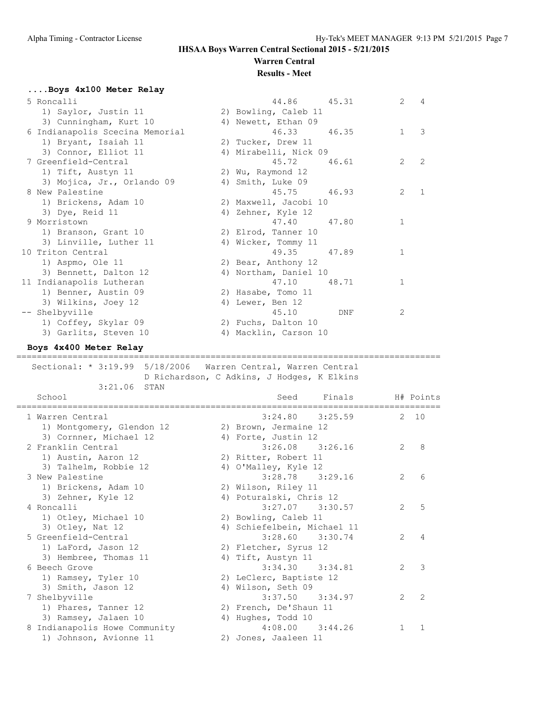### **Warren Central Results - Meet**

## **....Boys 4x100 Meter Relay**

| 44.86<br>45.31        | $\mathfrak{L}$<br>$\overline{4}$ |
|-----------------------|----------------------------------|
| 2) Bowling, Caleb 11  |                                  |
| 4) Newett, Ethan 09   |                                  |
| 46.33 46.35           | 3<br>$\mathbf{1}$                |
| 2) Tucker, Drew 11    |                                  |
| 4) Mirabelli, Nick 09 |                                  |
| 45.72<br>46.61        | 2<br>2                           |
| 2) Wu, Raymond 12     |                                  |
| 4) Smith, Luke 09     |                                  |
| 45.75 46.93           | $\overline{2}$                   |
| 2) Maxwell, Jacobi 10 |                                  |
| 4) Zehner, Kyle 12    |                                  |
| 47.40 47.80           | $\mathbf{1}$                     |
| 2) Elrod, Tanner 10   |                                  |
| 4) Wicker, Tommy 11   |                                  |
| 49.35 47.89           | $\mathbf{1}$                     |
| 2) Bear, Anthony 12   |                                  |
| 4) Northam, Daniel 10 |                                  |
| 47.10<br>48.71        | $\mathbf{1}$                     |
| 2) Hasabe, Tomo 11    |                                  |
| 4) Lewer, Ben 12      |                                  |
| 45.10<br>DNF          | 2                                |
| 2) Fuchs, Dalton 10   |                                  |
| 4) Macklin, Carson 10 |                                  |
|                       |                                  |

### **Boys 4x400 Meter Relay**

#### ===================================================================================

 Sectional: \* 3:19.99 5/18/2006 Warren Central, Warren Central D Richardson, C Adkins, J Hodges, K Elkins

| Finals<br>Seed<br>H# Points                           |
|-------------------------------------------------------|
| $3:24.80$ $3:25.59$<br>2, 10                          |
| 2) Brown, Jermaine 12                                 |
| 4) Forte, Justin 12                                   |
| $3:26.08$ $3:26.16$<br>$\mathcal{P}$<br>8             |
| 2) Ritter, Robert 11                                  |
| 4) O'Malley, Kyle 12                                  |
| $3:28.78$ $3:29.16$<br>$\mathcal{L}$<br>6             |
| 2) Wilson, Riley 11                                   |
| 4) Poturalski, Chris 12                               |
| $\mathcal{L}$<br>5<br>$3:27.07$ $3:30.57$             |
| 2) Bowling, Caleb 11                                  |
| 4) Schiefelbein, Michael 11                           |
| $3:28.60$ $3:30.74$<br>$\mathcal{L}$<br>4             |
| 2) Fletcher, Syrus 12                                 |
| 4) Tift, Austyn 11                                    |
| 3<br>$3:34.30$ $3:34.81$<br>$\mathcal{L}$             |
| 2) LeClerc, Baptiste 12                               |
| 4) Wilson, Seth 09                                    |
| $3:37.50$ $3:34.97$<br>$\mathcal{L}$<br>$\mathcal{L}$ |
| 2) French, De'Shaun 11                                |
| 4) Hughes, Todd 10                                    |
| $4:08.00$ $3:44.26$<br>$\mathbf{1}$<br>$\mathbf{1}$   |
| 2) Jones, Jaaleen 11                                  |
|                                                       |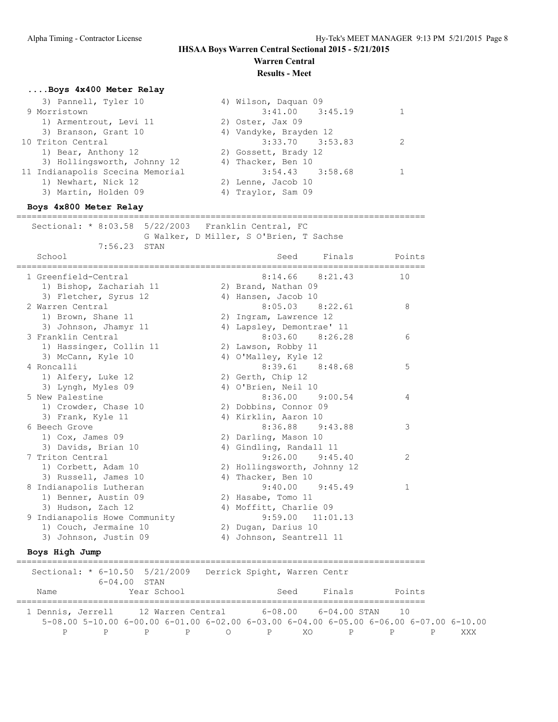# **Warren Central**

### **Results - Meet**

### **....Boys 4x400 Meter Relay**

| 3) Pannell, Tyler 10             | 4) Wilson, Daquan 09   |  |
|----------------------------------|------------------------|--|
| 9 Morristown                     | $3:41.00$ $3:45.19$    |  |
| 1) Armentrout, Levi 11           | 2) Oster, Jax 09       |  |
| 3) Branson, Grant 10             | 4) Vandyke, Brayden 12 |  |
| 10 Triton Central                | $3:33.70$ $3:53.83$    |  |
| 1) Bear, Anthony 12              | 2) Gossett, Brady 12   |  |
| 3) Hollingsworth, Johnny 12      | 4) Thacker, Ben 10     |  |
| 11 Indianapolis Scecina Memorial | $3:54.43$ $3:58.68$    |  |
| 1) Newhart, Nick 12              | 2) Lenne, Jacob 10     |  |
| 3) Martin, Holden 09             | 4) Traylor, Sam 09     |  |
|                                  |                        |  |

#### **Boys 4x800 Meter Relay**

================================================================================ Sectional: \* 8:03.58 5/22/2003 Franklin Central, FC G Walker, D Miller, S O'Brien, T Sachse

7:56.23 STAN

| School                           |    | Finals<br>Seed              | Points        |
|----------------------------------|----|-----------------------------|---------------|
| 1 Greenfield-Central             |    | 8:14.66<br>8:21.43          | 10            |
| 1) Bishop, Zachariah 11          |    | 2) Brand, Nathan 09         |               |
| 3) Fletcher, Syrus 12            |    | 4) Hansen, Jacob 10         |               |
| 2 Warren Central                 |    | $8:05.03$ $8:22.61$         | 8             |
| 1) Brown, Shane 11               |    | 2) Ingram, Lawrence 12      |               |
| 3) Johnson, Jhamyr 11            |    | 4) Lapsley, Demontrae' 11   |               |
| 3 Franklin Central               |    | $8:03.60$ $8:26.28$         | 6             |
| 1) Hassinger, Collin 11          |    | 2) Lawson, Robby 11         |               |
| 3) McCann, Kyle 10               |    | 4) O'Malley, Kyle 12        |               |
| 4 Roncalli                       |    | $8:39.61$ $8:48.68$         | 5             |
| 1) Alfery, Luke 12               |    | 2) Gerth, Chip 12           |               |
| 3) Lyngh, Myles 09               |    | 4) O'Brien, Neil 10         |               |
| 5 New Palestine                  |    | $8:36.00$ $9:00.54$         | 4             |
| 1) Crowder, Chase 10             |    | 2) Dobbins, Connor 09       |               |
| 3) Frank, Kyle 11                |    | 4) Kirklin, Aaron 10        |               |
| 6 Beech Grove                    |    | 8:36.88 9:43.88             | 3             |
| 1) Cox, James 09                 |    | 2) Darling, Mason 10        |               |
| 3) Davids, Brian 10              |    | 4) Gindling, Randall 11     |               |
| 7 Triton Central                 |    | $9:26.00$ $9:45.40$         | $\mathcal{P}$ |
| 1) Corbett, Adam 10              |    | 2) Hollingsworth, Johnny 12 |               |
| 3) Russell, James 10             |    | 4) Thacker, Ben 10          |               |
| 8 Indianapolis Lutheran          |    | $9:40.00$ $9:45.49$         | $\mathbf{1}$  |
| 1) Benner, Austin 09             |    | 2) Hasabe, Tomo 11          |               |
| 3) Hudson, Zach 12               |    | 4) Moffitt, Charlie 09      |               |
| Indianapolis Howe Community<br>9 |    | $9:59.00$ $11:01.13$        |               |
| 1) Couch, Jermaine 10            |    | 2) Dugan, Darius 10         |               |
| 3) Johnson, Justin 09            | 4) | Johnson, Seantrell 11       |               |

#### **Boys High Jump**

| Sectional: * 6-10.50 5/21/2009                           | $6 - 04.00$ STAN |     | Derrick Spight, Warren Centr |      |           |                                                                                                               |     |
|----------------------------------------------------------|------------------|-----|------------------------------|------|-----------|---------------------------------------------------------------------------------------------------------------|-----|
| Name                                                     | Year School      |     |                              | Seed | Finals    | Points                                                                                                        |     |
| 1 Dennis, Jerrell 12 Warren Central 6-08.00 6-04.00 STAN |                  |     |                              |      |           | $\sqrt{10}$                                                                                                   |     |
|                                                          |                  |     |                              |      |           | $5-08.00$ $5-10.00$ $6-00.00$ $6-01.00$ $6-02.00$ $6-03.00$ $6-04.00$ $6-05.00$ $6-06.00$ $6-07.00$ $6-10.00$ |     |
|                                                          |                  | P P |                              |      | O PXO PPP |                                                                                                               | XXX |

================================================================================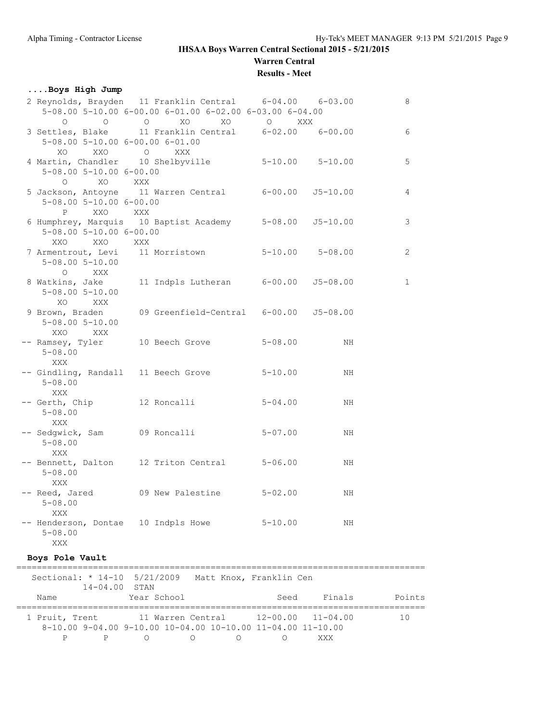# **Warren Central**

**Results - Meet**

### **....Boys High Jump**

| 2 Reynolds, Brayden 11 Franklin Central 6-04.00                                                                |         | 5-08.00 5-10.00 6-00.00 6-01.00 6-02.00 6-03.00 6-04.00 |                          | $6 - 03.00$ | 8            |
|----------------------------------------------------------------------------------------------------------------|---------|---------------------------------------------------------|--------------------------|-------------|--------------|
| $\circ$<br>$\circ$                                                                                             | $\circ$ | XO<br>XO                                                | $\circ$<br>XXX           |             |              |
| 3 Settles, Blake 11 Franklin Central 6-02.00 6-00.00<br>$5-08.00$ $5-10.00$ $6-00.00$ $6-01.00$<br>XXO O<br>XO |         | XXX                                                     |                          |             | 6            |
| 4 Martin, Chandler 10 Shelbyville 5-10.00 5-10.00<br>$5 - 08.00$ $5 - 10.00$ $6 - 00.00$<br>$\circ$<br>XO XXX  |         |                                                         |                          |             | 5            |
| 5 Jackson, Antoyne 11 Warren Central 6-00.00 55-10.00<br>5-08.00 5-10.00 6-00.00<br>XXO XXX<br>P               |         |                                                         |                          |             | 4            |
| 6 Humphrey, Marquis 10 Baptist Academy 5-08.00 J5-10.00<br>$5 - 08.00$ $5 - 10.00$ $6 - 00.00$<br>XXO<br>XXO   | XXX     |                                                         |                          |             | 3            |
| 7 Armentrout, Levi 11 Morristown<br>$5 - 08.00$ $5 - 10.00$<br>$\circ$<br>XXX                                  |         |                                                         | $5 - 10.00$ $5 - 08.00$  |             | 2            |
| 8 Watkins, Jake<br>$5 - 08.00$ $5 - 10.00$<br>XO<br>XXX X                                                      |         | 11 Indpls Lutheran                                      | $6 - 00.00$ $J5 - 08.00$ |             | $\mathbf{1}$ |
| 9 Brown, Braden 09 Greenfield-Central 6-00.00 J5-08.00<br>$5 - 08.00$ $5 - 10.00$<br>XXO<br>XXX                |         |                                                         |                          |             |              |
| -- Ramsey, Tyler 10 Beech Grove<br>$5 - 08.00$<br>XXX                                                          |         |                                                         | $5 - 08.00$              | ΝH          |              |
| -- Gindling, Randall 11 Beech Grove<br>$5 - 08.00$<br>XXX                                                      |         |                                                         | $5 - 10.00$              | NH          |              |
| -- Gerth, Chip 12 Roncalli<br>$5 - 08.00$<br>XXX                                                               |         |                                                         | $5 - 04.00$              | NH          |              |
| -- Sedgwick, Sam      09 Roncalli<br>$5 - 08.00$<br>XXX                                                        |         |                                                         | $5 - 07.00$              | ΝH          |              |
| -- Bennett, Dalton 12 Triton Central<br>$5 - 08.00$<br>XXX                                                     |         |                                                         | $5 - 06.00$              | NH          |              |
| -- Reed, Jared 09 New Palestine<br>$5 - 08.00$<br>XXX                                                          |         |                                                         | $5 - 02.00$              | ΝH          |              |
| -- Henderson, Dontae 10 Indpls Howe<br>$5 - 08.00$<br>XXX                                                      |         |                                                         | $5 - 10.00$              | NH          |              |
| Boys Pole Vault                                                                                                |         |                                                         |                          |             |              |

| Sectional: * 14-10 5/21/2009<br>$14 - 04.00$ STAN                                                                   |             | Matt Knox, Franklin Cen |      |        |        |
|---------------------------------------------------------------------------------------------------------------------|-------------|-------------------------|------|--------|--------|
| Name                                                                                                                | Year School |                         | Seed | Finals | Points |
| 1 Pruit, Trent 11 Warren Central 12-00.00 11-04.00<br>$8-10.00$ 9-04.00 9-10.00 10-04.00 10-10.00 11-04.00 11-10.00 |             |                         |      |        | 1 N    |
|                                                                                                                     |             |                         |      | XXX    |        |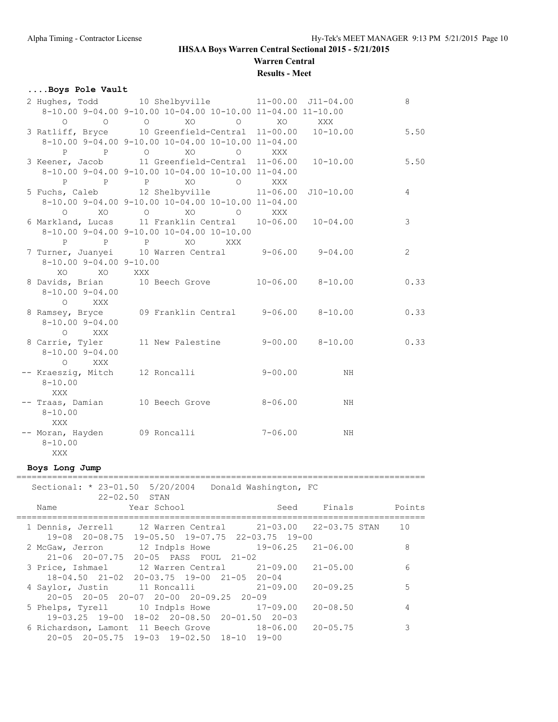# **Warren Central**

### **Results - Meet**

### **....Boys Pole Vault**

|                         | 2 Hughes, Todd 10 Shelbyville 11-00.00 J11-04.00                                                                                                                                                                                                                                                                                                                                                                                                           |             |    | 8              |
|-------------------------|------------------------------------------------------------------------------------------------------------------------------------------------------------------------------------------------------------------------------------------------------------------------------------------------------------------------------------------------------------------------------------------------------------------------------------------------------------|-------------|----|----------------|
|                         | 8-10.00 9-04.00 9-10.00 10-04.00 10-10.00 11-04.00 11-10.00                                                                                                                                                                                                                                                                                                                                                                                                |             |    |                |
|                         | $\begin{matrix} \mathsf{O} \qquad \qquad & \mathsf{O} \qquad \qquad & \mathsf{X} \mathsf{O} \qquad \qquad & \mathsf{O} \qquad \qquad & \mathsf{X} \mathsf{O} \qquad \qquad & \mathsf{X} \mathsf{X} \mathsf{X} \qquad \qquad & \mathsf{O} \qquad \qquad & \mathsf{X} \mathsf{X} \mathsf{X} \qquad \qquad & \mathsf{A} \mathsf{X} \mathsf{X} \mathsf{X} \qquad \qquad & \mathsf{A} \mathsf{X} \mathsf{X} \mathsf{X} \qquad \qquad & \mathsf{A} \mathsf{X} \$ |             |    |                |
|                         | 3 Ratliff, Bryce 10 Greenfield-Central 11-00.00 10-10.00                                                                                                                                                                                                                                                                                                                                                                                                   |             |    | 5.50           |
|                         | 8-10.00 9-04.00 9-10.00 10-04.00 10-10.00 11-04.00                                                                                                                                                                                                                                                                                                                                                                                                         |             |    |                |
| P P O                   | XO<br>$\circ$                                                                                                                                                                                                                                                                                                                                                                                                                                              | XXX         |    |                |
|                         | 3 Keener, Jacob 11 Greenfield-Central 11-06.00 10-10.00 5.50                                                                                                                                                                                                                                                                                                                                                                                               |             |    |                |
|                         | 8-10.00 9-04.00 9-10.00 10-04.00 10-10.00 11-04.00                                                                                                                                                                                                                                                                                                                                                                                                         |             |    |                |
| P P P                   | XO<br>$\overline{O}$                                                                                                                                                                                                                                                                                                                                                                                                                                       | XXX         |    |                |
|                         | 5 Fuchs, Caleb 12 Shelbyville 11-06.00 J10-10.00                                                                                                                                                                                                                                                                                                                                                                                                           |             |    | $\overline{4}$ |
|                         | 8-10.00 9-04.00 9-10.00 10-04.00 10-10.00 11-04.00                                                                                                                                                                                                                                                                                                                                                                                                         |             |    |                |
|                         | 0 XO O XO O XXX                                                                                                                                                                                                                                                                                                                                                                                                                                            |             |    |                |
|                         | 6 Markland, Lucas 11 Franklin Central 10-06.00 10-04.00                                                                                                                                                                                                                                                                                                                                                                                                    |             |    | 3              |
|                         | 8-10.00 9-04.00 9-10.00 10-04.00 10-10.00                                                                                                                                                                                                                                                                                                                                                                                                                  |             |    |                |
| P P P                   | XO<br>XXX                                                                                                                                                                                                                                                                                                                                                                                                                                                  |             |    |                |
|                         | 7 Turner, Juanyei 10 Warren Central 9-06.00 9-04.00                                                                                                                                                                                                                                                                                                                                                                                                        |             |    | 2              |
| 8-10.00 9-04.00 9-10.00 |                                                                                                                                                                                                                                                                                                                                                                                                                                                            |             |    |                |
| XO<br><b>EXO</b>        | XXX                                                                                                                                                                                                                                                                                                                                                                                                                                                        |             |    |                |
|                         | 8 Davids, Brian 10 Beech Grove 10-06.00 8-10.00                                                                                                                                                                                                                                                                                                                                                                                                            |             |    | 0.33           |
| $8 - 10.00$ 9-04.00     |                                                                                                                                                                                                                                                                                                                                                                                                                                                            |             |    |                |
| O XXX                   |                                                                                                                                                                                                                                                                                                                                                                                                                                                            |             |    |                |
|                         | 8 Ramsey, Bryce 09 Franklin Central 9-06.00 8-10.00                                                                                                                                                                                                                                                                                                                                                                                                        |             |    | 0.33           |
| $8 - 10.00$ $9 - 04.00$ |                                                                                                                                                                                                                                                                                                                                                                                                                                                            |             |    |                |
| O XXX                   |                                                                                                                                                                                                                                                                                                                                                                                                                                                            |             |    |                |
| 8 Carrie, Tyler         | 11 New Palestine 9-00.00 8-10.00                                                                                                                                                                                                                                                                                                                                                                                                                           |             |    | 0.33           |
| $8 - 10.00$ 9-04.00     |                                                                                                                                                                                                                                                                                                                                                                                                                                                            |             |    |                |
| O XXX                   |                                                                                                                                                                                                                                                                                                                                                                                                                                                            |             |    |                |
|                         | -- Kraeszig, Mitch 12 Roncalli                                                                                                                                                                                                                                                                                                                                                                                                                             | $9 - 00.00$ | NH |                |
| $8 - 10.00$             |                                                                                                                                                                                                                                                                                                                                                                                                                                                            |             |    |                |
| XXX                     |                                                                                                                                                                                                                                                                                                                                                                                                                                                            |             |    |                |
|                         | -- Traas, Damian 10 Beech Grove                                                                                                                                                                                                                                                                                                                                                                                                                            | $8 - 06.00$ | ΝH |                |
| $8 - 10.00$             |                                                                                                                                                                                                                                                                                                                                                                                                                                                            |             |    |                |
| XXX                     |                                                                                                                                                                                                                                                                                                                                                                                                                                                            |             |    |                |
|                         | -- Moran, Hayden 09 Roncalli                                                                                                                                                                                                                                                                                                                                                                                                                               | $7 - 06.00$ | NH |                |
| $8 - 10.00$             |                                                                                                                                                                                                                                                                                                                                                                                                                                                            |             |    |                |
| XXX                     |                                                                                                                                                                                                                                                                                                                                                                                                                                                            |             |    |                |

#### **Boys Long Jump**

|                  | Sectional: * 23-01.50 5/20/2004 Donald Washington, FC<br>$22 - 02.50$ STAN                                                |                           |              |        |
|------------------|---------------------------------------------------------------------------------------------------------------------------|---------------------------|--------------|--------|
| Name             | Year School                                                                                                               |                           | Seed Finals  | Points |
|                  | 1 Dennis, Jerrell 12 Warren Central 21-03.00 22-03.75 STAN<br>$19-08$ $20-08.75$ $19-05.50$ $19-07.75$ $22-03.75$ $19-00$ |                           |              | 10     |
|                  | 2 McGaw, Jerron 12 Indpls Howe 19-06.25 21-06.00<br>21-06 20-07.75 20-05 PASS FOUL 21-02                                  |                           |              | 8      |
|                  | 3 Price, Ishmael 12 Warren Central 21-09.00 21-05.00<br>$18 - 04.50$ $21 - 02$ $20 - 03.75$ $19 - 00$ $21 - 05$ $20 - 04$ |                           |              | 6      |
| 4 Saylor, Justin | 11 Roncalli<br>$20-05$ $20-05$ $20-07$ $20-00$ $20-09$ , $25$ $20-09$                                                     | $21 - 09.00$ $20 - 09.25$ |              | 5      |
|                  | 5 Phelps, Tyrell 10 Indpls Howe 17-09.00<br>19-03.25 19-00 18-02 20-08.50 20-01.50 20-03                                  |                           | $20 - 08.50$ | 4      |
|                  | 6 Richardson, Lamont 11 Beech Grove 18-06.00 20-05.75<br>$20-05$ $20-05.75$ $19-03$ $19-02.50$ $18-10$ $19-00$            |                           |              | 3      |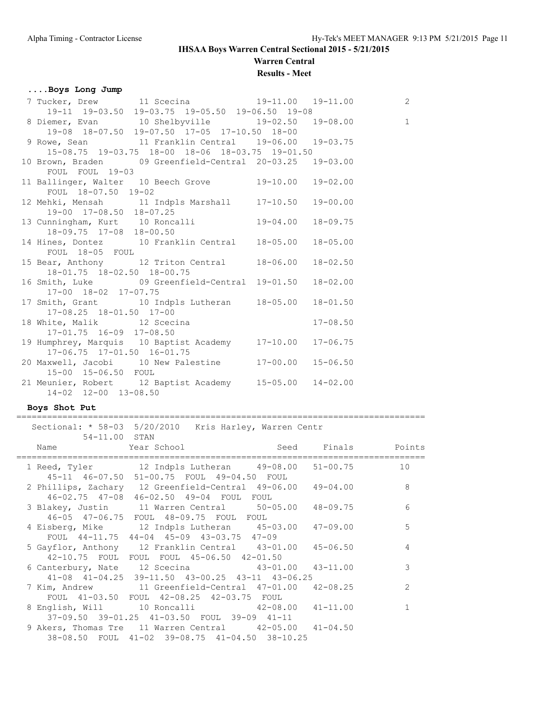# **Warren Central**

### **Results - Meet**

### **....Boys Long Jump**

| 19-11 19-03.50 19-03.75 19-05.50 19-06.50 19-08                                                                    |                                                                                                                                                                                                                          |                            |                                                                                                                                                                                                                                                                                                                                                                                                                   |
|--------------------------------------------------------------------------------------------------------------------|--------------------------------------------------------------------------------------------------------------------------------------------------------------------------------------------------------------------------|----------------------------|-------------------------------------------------------------------------------------------------------------------------------------------------------------------------------------------------------------------------------------------------------------------------------------------------------------------------------------------------------------------------------------------------------------------|
|                                                                                                                    |                                                                                                                                                                                                                          |                            |                                                                                                                                                                                                                                                                                                                                                                                                                   |
| 8 Diemer, Evan 10 Shelbyville 19-02.50 19-08.00 1<br>19-08 18-07.50 19-07.50 17-05 17-10.50 18-00<br>8 Boye Soom 1 |                                                                                                                                                                                                                          |                            |                                                                                                                                                                                                                                                                                                                                                                                                                   |
|                                                                                                                    |                                                                                                                                                                                                                          |                            |                                                                                                                                                                                                                                                                                                                                                                                                                   |
| 9 Rowe, Sean 11 Franklin Central 19-06.00 19-03.75                                                                 |                                                                                                                                                                                                                          |                            |                                                                                                                                                                                                                                                                                                                                                                                                                   |
| 15-08.75 19-03.75 18-00 18-06 18-03.75 19-01.50                                                                    |                                                                                                                                                                                                                          |                            |                                                                                                                                                                                                                                                                                                                                                                                                                   |
| 10 Brown, Braden 09 Greenfield-Central 20-03.25 19-03.00                                                           |                                                                                                                                                                                                                          |                            |                                                                                                                                                                                                                                                                                                                                                                                                                   |
| FOUL FOUL 19-03                                                                                                    |                                                                                                                                                                                                                          |                            |                                                                                                                                                                                                                                                                                                                                                                                                                   |
| 11 Ballinger, Walter 10 Beech Grove 19-10.00 19-02.00                                                              |                                                                                                                                                                                                                          |                            |                                                                                                                                                                                                                                                                                                                                                                                                                   |
| FOUL 18-07.50 19-02                                                                                                |                                                                                                                                                                                                                          |                            |                                                                                                                                                                                                                                                                                                                                                                                                                   |
| 12 Mehki, Mensah 11 Indpls Marshall 17-10.50 19-00.00                                                              |                                                                                                                                                                                                                          |                            |                                                                                                                                                                                                                                                                                                                                                                                                                   |
| 19-00 17-08.50 18-07.25                                                                                            |                                                                                                                                                                                                                          |                            |                                                                                                                                                                                                                                                                                                                                                                                                                   |
| 13 Cunningham, Kurt 10 Roncalli 19-04.00 18-09.75                                                                  |                                                                                                                                                                                                                          |                            |                                                                                                                                                                                                                                                                                                                                                                                                                   |
|                                                                                                                    |                                                                                                                                                                                                                          |                            |                                                                                                                                                                                                                                                                                                                                                                                                                   |
|                                                                                                                    |                                                                                                                                                                                                                          |                            |                                                                                                                                                                                                                                                                                                                                                                                                                   |
|                                                                                                                    |                                                                                                                                                                                                                          |                            |                                                                                                                                                                                                                                                                                                                                                                                                                   |
|                                                                                                                    |                                                                                                                                                                                                                          |                            |                                                                                                                                                                                                                                                                                                                                                                                                                   |
|                                                                                                                    |                                                                                                                                                                                                                          |                            |                                                                                                                                                                                                                                                                                                                                                                                                                   |
|                                                                                                                    |                                                                                                                                                                                                                          |                            |                                                                                                                                                                                                                                                                                                                                                                                                                   |
|                                                                                                                    |                                                                                                                                                                                                                          |                            |                                                                                                                                                                                                                                                                                                                                                                                                                   |
|                                                                                                                    |                                                                                                                                                                                                                          |                            |                                                                                                                                                                                                                                                                                                                                                                                                                   |
|                                                                                                                    |                                                                                                                                                                                                                          |                            |                                                                                                                                                                                                                                                                                                                                                                                                                   |
|                                                                                                                    |                                                                                                                                                                                                                          | $17 - 08.50$               |                                                                                                                                                                                                                                                                                                                                                                                                                   |
|                                                                                                                    |                                                                                                                                                                                                                          |                            |                                                                                                                                                                                                                                                                                                                                                                                                                   |
|                                                                                                                    |                                                                                                                                                                                                                          |                            |                                                                                                                                                                                                                                                                                                                                                                                                                   |
|                                                                                                                    |                                                                                                                                                                                                                          |                            |                                                                                                                                                                                                                                                                                                                                                                                                                   |
|                                                                                                                    |                                                                                                                                                                                                                          |                            |                                                                                                                                                                                                                                                                                                                                                                                                                   |
| 15-00 15-06.50 FOUL                                                                                                |                                                                                                                                                                                                                          |                            |                                                                                                                                                                                                                                                                                                                                                                                                                   |
|                                                                                                                    |                                                                                                                                                                                                                          |                            |                                                                                                                                                                                                                                                                                                                                                                                                                   |
|                                                                                                                    |                                                                                                                                                                                                                          |                            |                                                                                                                                                                                                                                                                                                                                                                                                                   |
|                                                                                                                    | 18-09.75 17-08 18-00.50<br>FOUL 18-05 FOUL<br>18-01.75 18-02.50 18-00.75<br>17-00 18-02 17-07.75<br>$17-08.25$ $18-01.50$ $17-00$<br>$17-01.75$ $16-09$ $17-08.50$<br>17-06.75 17-01.50 16-01.75<br>14-02 12-00 13-08.50 | 18 White, Malik 12 Scecina | 14 Hines, Dontez 10 Franklin Central 18-05.00 18-05.00<br>15 Bear, Anthony 12 Triton Central 18-06.00 18-02.50<br>16 Smith, Luke 09 Greenfield-Central 19-01.50 18-02.00<br>17 Smith, Grant 10 Indpls Lutheran 18-05.00 18-01.50<br>19 Humphrey, Marquis 10 Baptist Academy 17-10.00 17-06.75<br>20 Maxwell, Jacobi 10 New Palestine 17-00.00 15-06.50<br>21 Meunier, Robert 12 Baptist Academy 15-05.00 14-02.00 |

#### **Boys Shot Put**

#### ================================================================================ Sectional: \* 58-03 5/20/2010 Kris Harley, Warren Centr

| 54-11.00 STAN | SECULUMAL, VOTUS V/ZV/ZVIV KIIS-MAIIEY, WALIEM UEMUL          |            |               |
|---------------|---------------------------------------------------------------|------------|---------------|
|               | Name   Year School   Seed Finals   Points                     | ========== |               |
|               | 1 Reed, Tyler 12 Indpls Lutheran 49-08.00 51-00.75            |            | 10            |
|               | 45-11 46-07.50 51-00.75 FOUL 49-04.50 FOUL                    |            |               |
|               | 2 Phillips, Zachary 12 Greenfield-Central 49-06.00 49-04.00   |            | 8             |
|               | 46-02.75 47-08 46-02.50 49-04 FOUL FOUL                       |            |               |
|               | 3 Blakey, Justin 11 Warren Central 50-05.00 48-09.75          |            | 6             |
|               | 46-05 47-06.75 FOUL 48-09.75 FOUL FOUL                        |            |               |
|               | 4 Eisberg, Mike 12 Indpls Lutheran 45-03.00 47-09.00          |            | 5             |
|               | FOUL 44-11.75 44-04 45-09 43-03.75 47-09                      |            |               |
|               | 5 Gayflor, Anthony 12 Franklin Central 43-01.00 45-06.50      |            | 4             |
|               | 42-10.75 FOUL FOUL FOUL 45-06.50 42-01.50                     |            |               |
|               | 6 Canterbury, Nate 12 Scecina 43-01.00 43-11.00               |            | 3             |
|               | $41-08$ $41-04.25$ $39-11.50$ $43-00.25$ $43-11$ $43-06.25$   |            |               |
|               | 7 Kim, Andrew 11 Greenfield-Central 47-01.00 42-08.25         |            | $\mathcal{P}$ |
|               | FOUL 41-03.50 FOUL 42-08.25 42-03.75 FOUL                     |            |               |
|               | 8 English, Will 10 Roncalli 42-08.00 41-11.00                 |            | $\mathbf{1}$  |
|               | 37-09.50 39-01.25 41-03.50 FOUL 39-09 41-11                   |            |               |
|               | 9 Akers, Thomas Tre $11$ Warren Central $42-05.00$ $41-04.50$ |            |               |
|               | 38-08.50 FOUL 41-02 39-08.75 41-04.50 38-10.25                |            |               |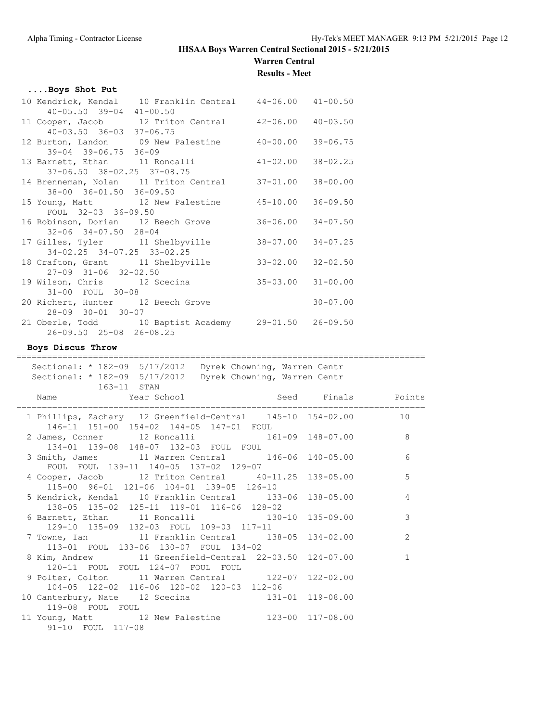# **Warren Central**

**Results - Meet**

#### **....Boys Shot Put**

|                                     | 10 Kendrick, Kendal 10 Franklin Central 44-06.00 41-00.50 |                           |              |  |  |  |  |  |
|-------------------------------------|-----------------------------------------------------------|---------------------------|--------------|--|--|--|--|--|
| $40 - 05.50$ 39-04 $41 - 00.50$     |                                                           |                           |              |  |  |  |  |  |
|                                     | 11 Cooper, Jacob 12 Triton Central 42-06.00 40-03.50      |                           |              |  |  |  |  |  |
| $40 - 03.50$ $36 - 03$ $37 - 06.75$ |                                                           |                           |              |  |  |  |  |  |
|                                     | 12 Burton, Landon 09 New Palestine 40-00.00 39-06.75      |                           |              |  |  |  |  |  |
| 39-04 39-06.75 36-09                |                                                           |                           |              |  |  |  |  |  |
|                                     | 13 Barnett, Ethan 11 Roncalli 41-02.00                    |                           | $38 - 02.25$ |  |  |  |  |  |
| 37-06.50 38-02.25 37-08.75          |                                                           |                           |              |  |  |  |  |  |
|                                     | 14 Brenneman, Nolan 11 Triton Central 37-01.00 38-00.00   |                           |              |  |  |  |  |  |
| 38-00 36-01.50 36-09.50             |                                                           |                           |              |  |  |  |  |  |
|                                     | 15 Young, Matt 12 New Palestine 45-10.00 36-09.50         |                           |              |  |  |  |  |  |
| FOUL 32-03 36-09.50                 |                                                           |                           |              |  |  |  |  |  |
|                                     | 16 Robinson, Dorian 12 Beech Grove                        | $36 - 06.00$ $34 - 07.50$ |              |  |  |  |  |  |
| $32 - 06$ $34 - 07.50$ $28 - 04$    |                                                           |                           |              |  |  |  |  |  |
|                                     | 17 Gilles, Tyler 11 Shelbyville                           | $38 - 07.00$ $34 - 07.25$ |              |  |  |  |  |  |
| 34-02.25 34-07.25 33-02.25          |                                                           |                           |              |  |  |  |  |  |
|                                     | 18 Crafton, Grant 11 Shelbyville                          | $33 - 02.00$ $32 - 02.50$ |              |  |  |  |  |  |
| $27-09$ $31-06$ $32-02.50$          |                                                           |                           |              |  |  |  |  |  |
|                                     |                                                           | $35 - 03.00$              | $31 - 00.00$ |  |  |  |  |  |
| 31-00 FOUL 30-08                    |                                                           |                           |              |  |  |  |  |  |
| 20 Richert, Hunter 12 Beech Grove   |                                                           |                           | $30 - 07.00$ |  |  |  |  |  |
| 28-09 30-01 30-07                   |                                                           |                           |              |  |  |  |  |  |
|                                     | 21 Oberle, Todd 10 Baptist Academy 29-01.50 26-09.50      |                           |              |  |  |  |  |  |
| 26-09.50 25-08 26-08.25             |                                                           |                           |              |  |  |  |  |  |
|                                     |                                                           |                           |              |  |  |  |  |  |

#### **Boys Discus Throw**

#### ================================================================================ Sectional: \* 182-09 5/17/2012 Dyrek Chowning, Warren Centr Sectional: \* 182-09 5/17/2012 Dyrek Chowning, Warren Centr 163-11 STAN Name Year School Seed Finals Points ================================================================================ 1 Phillips, Zachary 12 Greenfield-Central 145-10 154-02.00 10 146-11 151-00 154-02 144-05 147-01 FOUL<br>2 James, Conner 12 Roncalli 161 2 James, Conner 12 Roncalli 161-09 148-07.00 8 134-01 139-08 148-07 132-03 FOUL FOUL 3 Smith, James 11 Warren Central 146-06 140-05.00 6 FOUL FOUL 139-11 140-05 137-02 129-07 4 Cooper, Jacob 12 Triton Central 40-11.25 139-05.00 5 115-00 96-01 121-06 104-01 139-05 126-10 5 Kendrick, Kendal 10 Franklin Central 133-06 138-05.00 4 138-05 135-02 125-11 119-01 116-06 128-02 6 Barnett, Ethan 11 Roncalli 130-10 135-09.00 3 129-10 135-09 132-03 FOUL 109-03 117-11 7 Towne, Ian 11 Franklin Central 138-05 134-02.00 2 113-01 FOUL 133-06 130-07 FOUL 134-02 8 Kim, Andrew 11 Greenfield-Central 22-03.50 124-07.00 1 120-11 FOUL FOUL 124-07 FOUL FOUL 9 Polter, Colton 11 Warren Central 122-07 122-02.00 104-05 122-02 116-06 120-02 120-03 112-06 10 Canterbury, Nate 12 Scecina 131-01 119-08.00 119-08 FOUL FOUL 11 Young, Matt 12 New Palestine 123-00 117-08.00

91-10 FOUL 117-08